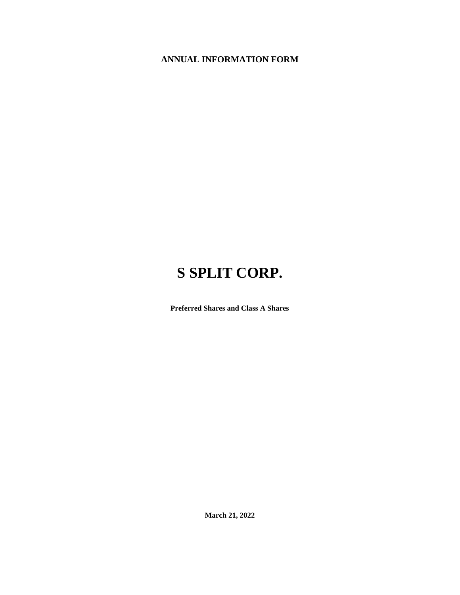## **ANNUAL INFORMATION FORM**

# **S SPLIT CORP.**

**Preferred Shares and Class A Shares**

**March 21, 2022**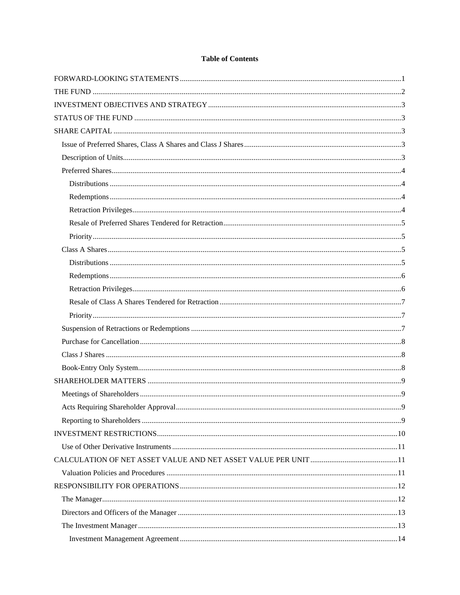## **Table of Contents**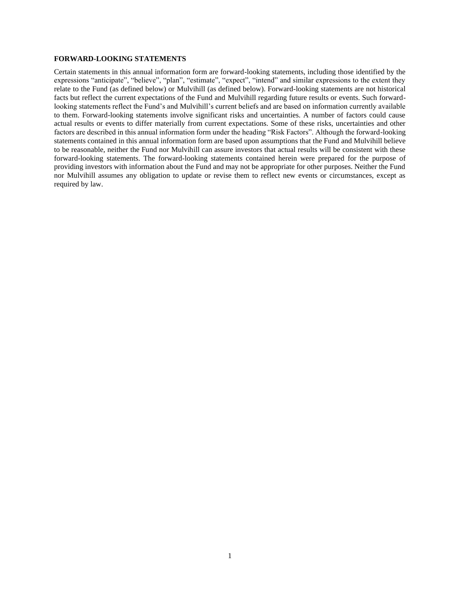#### <span id="page-3-0"></span>**FORWARD-LOOKING STATEMENTS**

Certain statements in this annual information form are forward-looking statements, including those identified by the expressions "anticipate", "believe", "plan", "estimate", "expect", "intend" and similar expressions to the extent they relate to the Fund (as defined below) or Mulvihill (as defined below). Forward-looking statements are not historical facts but reflect the current expectations of the Fund and Mulvihill regarding future results or events. Such forwardlooking statements reflect the Fund's and Mulvihill's current beliefs and are based on information currently available to them. Forward-looking statements involve significant risks and uncertainties. A number of factors could cause actual results or events to differ materially from current expectations. Some of these risks, uncertainties and other factors are described in this annual information form under the heading "Risk Factors". Although the forward-looking statements contained in this annual information form are based upon assumptions that the Fund and Mulvihill believe to be reasonable, neither the Fund nor Mulvihill can assure investors that actual results will be consistent with these forward-looking statements. The forward-looking statements contained herein were prepared for the purpose of providing investors with information about the Fund and may not be appropriate for other purposes. Neither the Fund nor Mulvihill assumes any obligation to update or revise them to reflect new events or circumstances, except as required by law.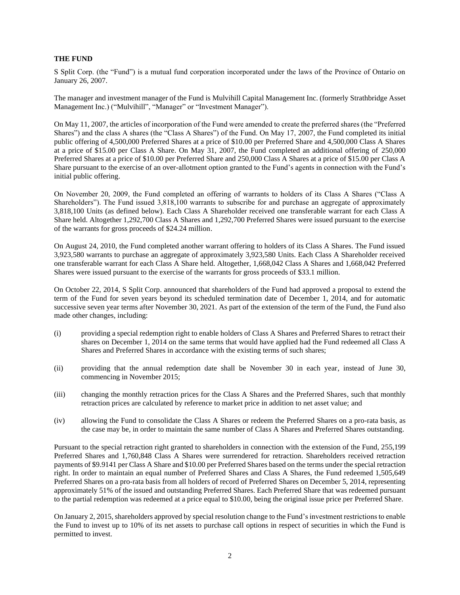#### <span id="page-4-0"></span>**THE FUND**

S Split Corp. (the "Fund") is a mutual fund corporation incorporated under the laws of the Province of Ontario on January 26, 2007.

The manager and investment manager of the Fund is Mulvihill Capital Management Inc. (formerly Strathbridge Asset Management Inc.) ("Mulvihill", "Manager" or "Investment Manager").

On May 11, 2007, the articles of incorporation of the Fund were amended to create the preferred shares (the "Preferred Shares") and the class A shares (the "Class A Shares") of the Fund. On May 17, 2007, the Fund completed its initial public offering of 4,500,000 Preferred Shares at a price of \$10.00 per Preferred Share and 4,500,000 Class A Shares at a price of \$15.00 per Class A Share. On May 31, 2007, the Fund completed an additional offering of 250,000 Preferred Shares at a price of \$10.00 per Preferred Share and 250,000 Class A Shares at a price of \$15.00 per Class A Share pursuant to the exercise of an over-allotment option granted to the Fund's agents in connection with the Fund's initial public offering.

On November 20, 2009, the Fund completed an offering of warrants to holders of its Class A Shares ("Class A Shareholders"). The Fund issued 3,818,100 warrants to subscribe for and purchase an aggregate of approximately 3,818,100 Units (as defined below). Each Class A Shareholder received one transferable warrant for each Class A Share held. Altogether 1,292,700 Class A Shares and 1,292,700 Preferred Shares were issued pursuant to the exercise of the warrants for gross proceeds of \$24.24 million.

On August 24, 2010, the Fund completed another warrant offering to holders of its Class A Shares. The Fund issued 3,923,580 warrants to purchase an aggregate of approximately 3,923,580 Units. Each Class A Shareholder received one transferable warrant for each Class A Share held. Altogether, 1,668,042 Class A Shares and 1,668,042 Preferred Shares were issued pursuant to the exercise of the warrants for gross proceeds of \$33.1 million.

On October 22, 2014, S Split Corp. announced that shareholders of the Fund had approved a proposal to extend the term of the Fund for seven years beyond its scheduled termination date of December 1, 2014, and for automatic successive seven year terms after November 30, 2021. As part of the extension of the term of the Fund, the Fund also made other changes, including:

- (i) providing a special redemption right to enable holders of Class A Shares and Preferred Shares to retract their shares on December 1, 2014 on the same terms that would have applied had the Fund redeemed all Class A Shares and Preferred Shares in accordance with the existing terms of such shares;
- (ii) providing that the annual redemption date shall be November 30 in each year, instead of June 30, commencing in November 2015;
- (iii) changing the monthly retraction prices for the Class A Shares and the Preferred Shares, such that monthly retraction prices are calculated by reference to market price in addition to net asset value; and
- (iv) allowing the Fund to consolidate the Class A Shares or redeem the Preferred Shares on a pro-rata basis, as the case may be, in order to maintain the same number of Class A Shares and Preferred Shares outstanding.

Pursuant to the special retraction right granted to shareholders in connection with the extension of the Fund, 255,199 Preferred Shares and 1,760,848 Class A Shares were surrendered for retraction. Shareholders received retraction payments of \$9.9141 per Class A Share and \$10.00 per Preferred Shares based on the terms under the special retraction right. In order to maintain an equal number of Preferred Shares and Class A Shares, the Fund redeemed 1,505,649 Preferred Shares on a pro-rata basis from all holders of record of Preferred Shares on December 5, 2014, representing approximately 51% of the issued and outstanding Preferred Shares. Each Preferred Share that was redeemed pursuant to the partial redemption was redeemed at a price equal to \$10.00, being the original issue price per Preferred Share.

On January 2, 2015, shareholders approved by special resolution change to the Fund's investment restrictions to enable the Fund to invest up to 10% of its net assets to purchase call options in respect of securities in which the Fund is permitted to invest.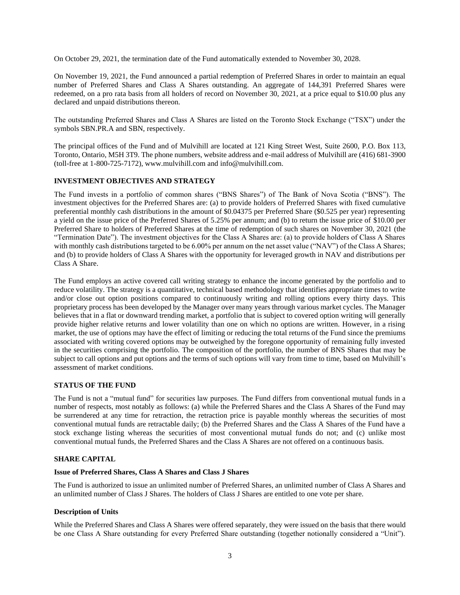On October 29, 2021, the termination date of the Fund automatically extended to November 30, 2028.

On November 19, 2021, the Fund announced a partial redemption of Preferred Shares in order to maintain an equal number of Preferred Shares and Class A Shares outstanding. An aggregate of 144,391 Preferred Shares were redeemed, on a pro rata basis from all holders of record on November 30, 2021, at a price equal to \$10.00 plus any declared and unpaid distributions thereon.

The outstanding Preferred Shares and Class A Shares are listed on the Toronto Stock Exchange ("TSX") under the symbols SBN.PR.A and SBN, respectively.

The principal offices of the Fund and of Mulvihill are located at 121 King Street West, Suite 2600, P.O. Box 113, Toronto, Ontario, M5H 3T9. The phone numbers, website address and e-mail address of Mulvihill are (416) 681-3900 (toll-free at 1-800-725-7172), www.mulvihill.com and info@mulvihill.com.

## <span id="page-5-0"></span>**INVESTMENT OBJECTIVES AND STRATEGY**

The Fund invests in a portfolio of common shares ("BNS Shares") of The Bank of Nova Scotia ("BNS"). The investment objectives for the Preferred Shares are: (a) to provide holders of Preferred Shares with fixed cumulative preferential monthly cash distributions in the amount of \$0.04375 per Preferred Share (\$0.525 per year) representing a yield on the issue price of the Preferred Shares of 5.25% per annum; and (b) to return the issue price of \$10.00 per Preferred Share to holders of Preferred Shares at the time of redemption of such shares on November 30, 2021 (the "Termination Date"). The investment objectives for the Class A Shares are: (a) to provide holders of Class A Shares with monthly cash distributions targeted to be 6.00% per annum on the net asset value ("NAV") of the Class A Shares; and (b) to provide holders of Class A Shares with the opportunity for leveraged growth in NAV and distributions per Class A Share.

The Fund employs an active covered call writing strategy to enhance the income generated by the portfolio and to reduce volatility. The strategy is a quantitative, technical based methodology that identifies appropriate times to write and/or close out option positions compared to continuously writing and rolling options every thirty days. This proprietary process has been developed by the Manager over many years through various market cycles. The Manager believes that in a flat or downward trending market, a portfolio that is subject to covered option writing will generally provide higher relative returns and lower volatility than one on which no options are written. However, in a rising market, the use of options may have the effect of limiting or reducing the total returns of the Fund since the premiums associated with writing covered options may be outweighed by the foregone opportunity of remaining fully invested in the securities comprising the portfolio. The composition of the portfolio, the number of BNS Shares that may be subject to call options and put options and the terms of such options will vary from time to time, based on Mulvihill's assessment of market conditions.

#### <span id="page-5-1"></span>**STATUS OF THE FUND**

The Fund is not a "mutual fund" for securities law purposes. The Fund differs from conventional mutual funds in a number of respects, most notably as follows: (a) while the Preferred Shares and the Class A Shares of the Fund may be surrendered at any time for retraction, the retraction price is payable monthly whereas the securities of most conventional mutual funds are retractable daily; (b) the Preferred Shares and the Class A Shares of the Fund have a stock exchange listing whereas the securities of most conventional mutual funds do not; and (c) unlike most conventional mutual funds, the Preferred Shares and the Class A Shares are not offered on a continuous basis.

## <span id="page-5-2"></span>**SHARE CAPITAL**

#### <span id="page-5-3"></span>**Issue of Preferred Shares, Class A Shares and Class J Shares**

The Fund is authorized to issue an unlimited number of Preferred Shares, an unlimited number of Class A Shares and an unlimited number of Class J Shares. The holders of Class J Shares are entitled to one vote per share.

#### <span id="page-5-4"></span>**Description of Units**

While the Preferred Shares and Class A Shares were offered separately, they were issued on the basis that there would be one Class A Share outstanding for every Preferred Share outstanding (together notionally considered a "Unit").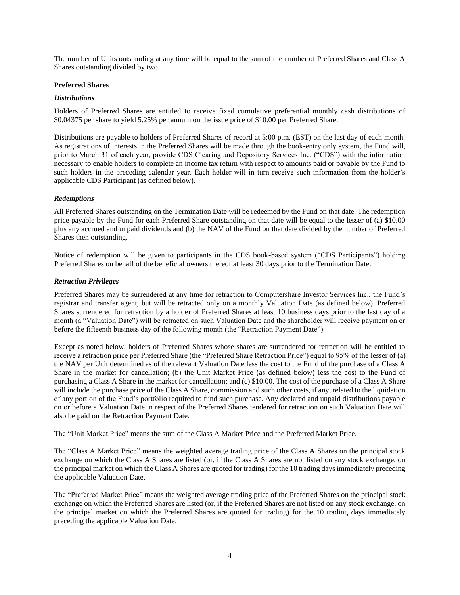The number of Units outstanding at any time will be equal to the sum of the number of Preferred Shares and Class A Shares outstanding divided by two.

## <span id="page-6-0"></span>**Preferred Shares**

#### <span id="page-6-1"></span>*Distributions*

Holders of Preferred Shares are entitled to receive fixed cumulative preferential monthly cash distributions of \$0.04375 per share to yield 5.25% per annum on the issue price of \$10.00 per Preferred Share.

Distributions are payable to holders of Preferred Shares of record at 5:00 p.m. (EST) on the last day of each month. As registrations of interests in the Preferred Shares will be made through the book-entry only system, the Fund will, prior to March 31 of each year, provide CDS Clearing and Depository Services Inc. ("CDS") with the information necessary to enable holders to complete an income tax return with respect to amounts paid or payable by the Fund to such holders in the preceding calendar year. Each holder will in turn receive such information from the holder's applicable CDS Participant (as defined below).

## <span id="page-6-2"></span>*Redemptions*

All Preferred Shares outstanding on the Termination Date will be redeemed by the Fund on that date. The redemption price payable by the Fund for each Preferred Share outstanding on that date will be equal to the lesser of (a) \$10.00 plus any accrued and unpaid dividends and (b) the NAV of the Fund on that date divided by the number of Preferred Shares then outstanding.

Notice of redemption will be given to participants in the CDS book-based system ("CDS Participants") holding Preferred Shares on behalf of the beneficial owners thereof at least 30 days prior to the Termination Date.

## <span id="page-6-3"></span>*Retraction Privileges*

Preferred Shares may be surrendered at any time for retraction to Computershare Investor Services Inc., the Fund's registrar and transfer agent, but will be retracted only on a monthly Valuation Date (as defined below). Preferred Shares surrendered for retraction by a holder of Preferred Shares at least 10 business days prior to the last day of a month (a "Valuation Date") will be retracted on such Valuation Date and the shareholder will receive payment on or before the fifteenth business day of the following month (the "Retraction Payment Date").

Except as noted below, holders of Preferred Shares whose shares are surrendered for retraction will be entitled to receive a retraction price per Preferred Share (the "Preferred Share Retraction Price") equal to 95% of the lesser of (a) the NAV per Unit determined as of the relevant Valuation Date less the cost to the Fund of the purchase of a Class A Share in the market for cancellation; (b) the Unit Market Price (as defined below) less the cost to the Fund of purchasing a Class A Share in the market for cancellation; and (c) \$10.00. The cost of the purchase of a Class A Share will include the purchase price of the Class A Share, commission and such other costs, if any, related to the liquidation of any portion of the Fund's portfolio required to fund such purchase. Any declared and unpaid distributions payable on or before a Valuation Date in respect of the Preferred Shares tendered for retraction on such Valuation Date will also be paid on the Retraction Payment Date.

The "Unit Market Price" means the sum of the Class A Market Price and the Preferred Market Price.

The "Class A Market Price" means the weighted average trading price of the Class A Shares on the principal stock exchange on which the Class A Shares are listed (or, if the Class A Shares are not listed on any stock exchange, on the principal market on which the Class A Shares are quoted for trading) for the 10 trading days immediately preceding the applicable Valuation Date.

The "Preferred Market Price" means the weighted average trading price of the Preferred Shares on the principal stock exchange on which the Preferred Shares are listed (or, if the Preferred Shares are not listed on any stock exchange, on the principal market on which the Preferred Shares are quoted for trading) for the 10 trading days immediately preceding the applicable Valuation Date.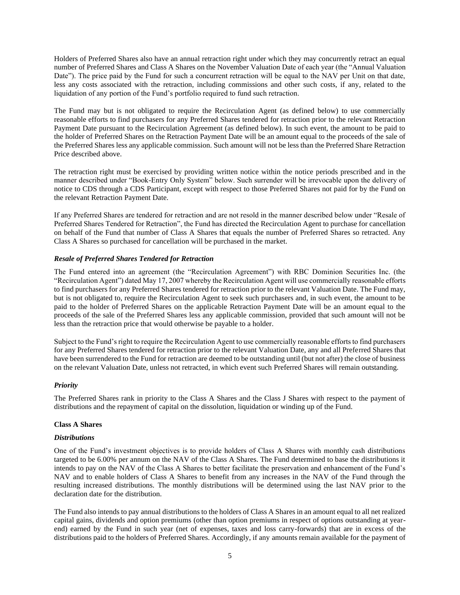Holders of Preferred Shares also have an annual retraction right under which they may concurrently retract an equal number of Preferred Shares and Class A Shares on the November Valuation Date of each year (the "Annual Valuation Date"). The price paid by the Fund for such a concurrent retraction will be equal to the NAV per Unit on that date, less any costs associated with the retraction, including commissions and other such costs, if any, related to the liquidation of any portion of the Fund's portfolio required to fund such retraction.

The Fund may but is not obligated to require the Recirculation Agent (as defined below) to use commercially reasonable efforts to find purchasers for any Preferred Shares tendered for retraction prior to the relevant Retraction Payment Date pursuant to the Recirculation Agreement (as defined below). In such event, the amount to be paid to the holder of Preferred Shares on the Retraction Payment Date will be an amount equal to the proceeds of the sale of the Preferred Shares less any applicable commission. Such amount will not be less than the Preferred Share Retraction Price described above.

The retraction right must be exercised by providing written notice within the notice periods prescribed and in the manner described under "Book-Entry Only System" below. Such surrender will be irrevocable upon the delivery of notice to CDS through a CDS Participant, except with respect to those Preferred Shares not paid for by the Fund on the relevant Retraction Payment Date.

If any Preferred Shares are tendered for retraction and are not resold in the manner described below under "Resale of Preferred Shares Tendered for Retraction", the Fund has directed the Recirculation Agent to purchase for cancellation on behalf of the Fund that number of Class A Shares that equals the number of Preferred Shares so retracted. Any Class A Shares so purchased for cancellation will be purchased in the market.

## <span id="page-7-0"></span>*Resale of Preferred Shares Tendered for Retraction*

The Fund entered into an agreement (the "Recirculation Agreement") with RBC Dominion Securities Inc. (the "Recirculation Agent") dated May 17, 2007 whereby the Recirculation Agent will use commercially reasonable efforts to find purchasers for any Preferred Shares tendered for retraction prior to the relevant Valuation Date. The Fund may, but is not obligated to, require the Recirculation Agent to seek such purchasers and, in such event, the amount to be paid to the holder of Preferred Shares on the applicable Retraction Payment Date will be an amount equal to the proceeds of the sale of the Preferred Shares less any applicable commission, provided that such amount will not be less than the retraction price that would otherwise be payable to a holder.

Subject to the Fund's right to require the Recirculation Agent to use commercially reasonable efforts to find purchasers for any Preferred Shares tendered for retraction prior to the relevant Valuation Date, any and all Preferred Shares that have been surrendered to the Fund for retraction are deemed to be outstanding until (but not after) the close of business on the relevant Valuation Date, unless not retracted, in which event such Preferred Shares will remain outstanding.

#### <span id="page-7-1"></span>*Priority*

The Preferred Shares rank in priority to the Class A Shares and the Class J Shares with respect to the payment of distributions and the repayment of capital on the dissolution, liquidation or winding up of the Fund.

#### <span id="page-7-2"></span>**Class A Shares**

#### <span id="page-7-3"></span>*Distributions*

One of the Fund's investment objectives is to provide holders of Class A Shares with monthly cash distributions targeted to be 6.00% per annum on the NAV of the Class A Shares. The Fund determined to base the distributions it intends to pay on the NAV of the Class A Shares to better facilitate the preservation and enhancement of the Fund's NAV and to enable holders of Class A Shares to benefit from any increases in the NAV of the Fund through the resulting increased distributions. The monthly distributions will be determined using the last NAV prior to the declaration date for the distribution.

The Fund also intends to pay annual distributions to the holders of Class A Shares in an amount equal to all net realized capital gains, dividends and option premiums (other than option premiums in respect of options outstanding at yearend) earned by the Fund in such year (net of expenses, taxes and loss carry-forwards) that are in excess of the distributions paid to the holders of Preferred Shares. Accordingly, if any amounts remain available for the payment of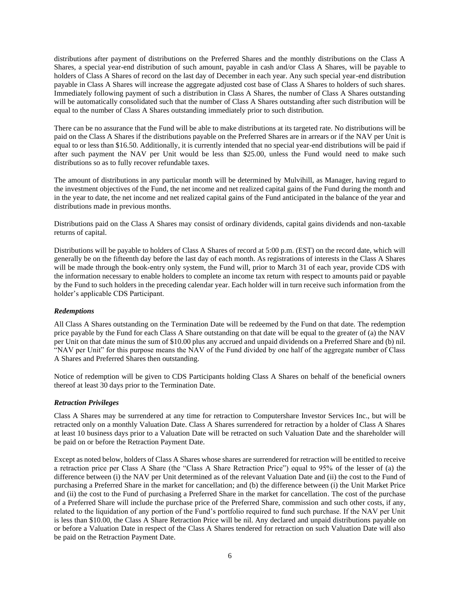distributions after payment of distributions on the Preferred Shares and the monthly distributions on the Class A Shares, a special year-end distribution of such amount, payable in cash and/or Class A Shares, will be payable to holders of Class A Shares of record on the last day of December in each year. Any such special year-end distribution payable in Class A Shares will increase the aggregate adjusted cost base of Class A Shares to holders of such shares. Immediately following payment of such a distribution in Class A Shares, the number of Class A Shares outstanding will be automatically consolidated such that the number of Class A Shares outstanding after such distribution will be equal to the number of Class A Shares outstanding immediately prior to such distribution.

There can be no assurance that the Fund will be able to make distributions at its targeted rate. No distributions will be paid on the Class A Shares if the distributions payable on the Preferred Shares are in arrears or if the NAV per Unit is equal to or less than \$16.50. Additionally, it is currently intended that no special year-end distributions will be paid if after such payment the NAV per Unit would be less than \$25.00, unless the Fund would need to make such distributions so as to fully recover refundable taxes.

The amount of distributions in any particular month will be determined by Mulvihill, as Manager, having regard to the investment objectives of the Fund, the net income and net realized capital gains of the Fund during the month and in the year to date, the net income and net realized capital gains of the Fund anticipated in the balance of the year and distributions made in previous months.

Distributions paid on the Class A Shares may consist of ordinary dividends, capital gains dividends and non-taxable returns of capital.

Distributions will be payable to holders of Class A Shares of record at 5:00 p.m. (EST) on the record date, which will generally be on the fifteenth day before the last day of each month. As registrations of interests in the Class A Shares will be made through the book-entry only system, the Fund will, prior to March 31 of each year, provide CDS with the information necessary to enable holders to complete an income tax return with respect to amounts paid or payable by the Fund to such holders in the preceding calendar year. Each holder will in turn receive such information from the holder's applicable CDS Participant.

#### <span id="page-8-0"></span>*Redemptions*

All Class A Shares outstanding on the Termination Date will be redeemed by the Fund on that date. The redemption price payable by the Fund for each Class A Share outstanding on that date will be equal to the greater of (a) the NAV per Unit on that date minus the sum of \$10.00 plus any accrued and unpaid dividends on a Preferred Share and (b) nil. "NAV per Unit" for this purpose means the NAV of the Fund divided by one half of the aggregate number of Class A Shares and Preferred Shares then outstanding.

Notice of redemption will be given to CDS Participants holding Class A Shares on behalf of the beneficial owners thereof at least 30 days prior to the Termination Date.

## <span id="page-8-1"></span>*Retraction Privileges*

Class A Shares may be surrendered at any time for retraction to Computershare Investor Services Inc., but will be retracted only on a monthly Valuation Date. Class A Shares surrendered for retraction by a holder of Class A Shares at least 10 business days prior to a Valuation Date will be retracted on such Valuation Date and the shareholder will be paid on or before the Retraction Payment Date.

Except as noted below, holders of Class A Shares whose shares are surrendered for retraction will be entitled to receive a retraction price per Class A Share (the "Class A Share Retraction Price") equal to 95% of the lesser of (a) the difference between (i) the NAV per Unit determined as of the relevant Valuation Date and (ii) the cost to the Fund of purchasing a Preferred Share in the market for cancellation; and (b) the difference between (i) the Unit Market Price and (ii) the cost to the Fund of purchasing a Preferred Share in the market for cancellation. The cost of the purchase of a Preferred Share will include the purchase price of the Preferred Share, commission and such other costs, if any, related to the liquidation of any portion of the Fund's portfolio required to fund such purchase. If the NAV per Unit is less than \$10.00, the Class A Share Retraction Price will be nil. Any declared and unpaid distributions payable on or before a Valuation Date in respect of the Class A Shares tendered for retraction on such Valuation Date will also be paid on the Retraction Payment Date.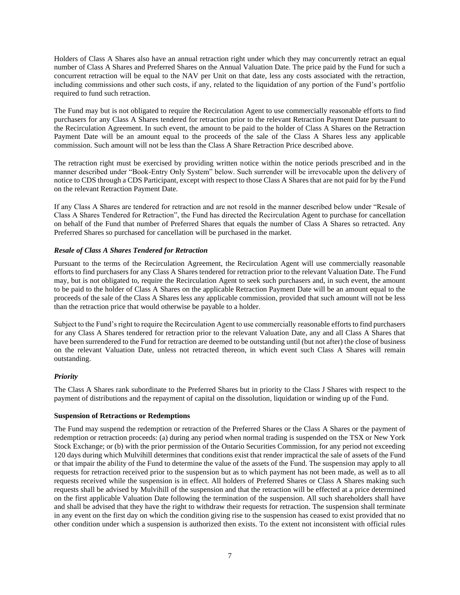Holders of Class A Shares also have an annual retraction right under which they may concurrently retract an equal number of Class A Shares and Preferred Shares on the Annual Valuation Date. The price paid by the Fund for such a concurrent retraction will be equal to the NAV per Unit on that date, less any costs associated with the retraction, including commissions and other such costs, if any, related to the liquidation of any portion of the Fund's portfolio required to fund such retraction.

The Fund may but is not obligated to require the Recirculation Agent to use commercially reasonable efforts to find purchasers for any Class A Shares tendered for retraction prior to the relevant Retraction Payment Date pursuant to the Recirculation Agreement. In such event, the amount to be paid to the holder of Class A Shares on the Retraction Payment Date will be an amount equal to the proceeds of the sale of the Class A Shares less any applicable commission. Such amount will not be less than the Class A Share Retraction Price described above.

The retraction right must be exercised by providing written notice within the notice periods prescribed and in the manner described under "Book-Entry Only System" below. Such surrender will be irrevocable upon the delivery of notice to CDS through a CDS Participant, except with respect to those Class A Shares that are not paid for by the Fund on the relevant Retraction Payment Date.

If any Class A Shares are tendered for retraction and are not resold in the manner described below under "Resale of Class A Shares Tendered for Retraction", the Fund has directed the Recirculation Agent to purchase for cancellation on behalf of the Fund that number of Preferred Shares that equals the number of Class A Shares so retracted. Any Preferred Shares so purchased for cancellation will be purchased in the market.

## <span id="page-9-0"></span>*Resale of Class A Shares Tendered for Retraction*

Pursuant to the terms of the Recirculation Agreement, the Recirculation Agent will use commercially reasonable efforts to find purchasers for any Class A Shares tendered for retraction prior to the relevant Valuation Date. The Fund may, but is not obligated to, require the Recirculation Agent to seek such purchasers and, in such event, the amount to be paid to the holder of Class A Shares on the applicable Retraction Payment Date will be an amount equal to the proceeds of the sale of the Class A Shares less any applicable commission, provided that such amount will not be less than the retraction price that would otherwise be payable to a holder.

Subject to the Fund's right to require the Recirculation Agent to use commercially reasonable efforts to find purchasers for any Class A Shares tendered for retraction prior to the relevant Valuation Date, any and all Class A Shares that have been surrendered to the Fund for retraction are deemed to be outstanding until (but not after) the close of business on the relevant Valuation Date, unless not retracted thereon, in which event such Class A Shares will remain outstanding.

#### <span id="page-9-1"></span>*Priority*

The Class A Shares rank subordinate to the Preferred Shares but in priority to the Class J Shares with respect to the payment of distributions and the repayment of capital on the dissolution, liquidation or winding up of the Fund.

#### <span id="page-9-2"></span>**Suspension of Retractions or Redemptions**

The Fund may suspend the redemption or retraction of the Preferred Shares or the Class A Shares or the payment of redemption or retraction proceeds: (a) during any period when normal trading is suspended on the TSX or New York Stock Exchange; or (b) with the prior permission of the Ontario Securities Commission, for any period not exceeding 120 days during which Mulvihill determines that conditions exist that render impractical the sale of assets of the Fund or that impair the ability of the Fund to determine the value of the assets of the Fund. The suspension may apply to all requests for retraction received prior to the suspension but as to which payment has not been made, as well as to all requests received while the suspension is in effect. All holders of Preferred Shares or Class A Shares making such requests shall be advised by Mulvihill of the suspension and that the retraction will be effected at a price determined on the first applicable Valuation Date following the termination of the suspension. All such shareholders shall have and shall be advised that they have the right to withdraw their requests for retraction. The suspension shall terminate in any event on the first day on which the condition giving rise to the suspension has ceased to exist provided that no other condition under which a suspension is authorized then exists. To the extent not inconsistent with official rules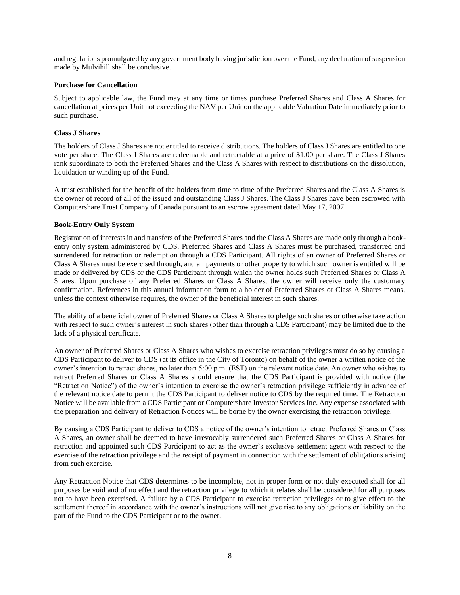and regulations promulgated by any government body having jurisdiction over the Fund, any declaration of suspension made by Mulvihill shall be conclusive.

#### <span id="page-10-0"></span>**Purchase for Cancellation**

Subject to applicable law, the Fund may at any time or times purchase Preferred Shares and Class A Shares for cancellation at prices per Unit not exceeding the NAV per Unit on the applicable Valuation Date immediately prior to such purchase.

## <span id="page-10-1"></span>**Class J Shares**

The holders of Class J Shares are not entitled to receive distributions. The holders of Class J Shares are entitled to one vote per share. The Class J Shares are redeemable and retractable at a price of \$1.00 per share. The Class J Shares rank subordinate to both the Preferred Shares and the Class A Shares with respect to distributions on the dissolution, liquidation or winding up of the Fund.

A trust established for the benefit of the holders from time to time of the Preferred Shares and the Class A Shares is the owner of record of all of the issued and outstanding Class J Shares. The Class J Shares have been escrowed with Computershare Trust Company of Canada pursuant to an escrow agreement dated May 17, 2007.

## <span id="page-10-2"></span>**Book-Entry Only System**

Registration of interests in and transfers of the Preferred Shares and the Class A Shares are made only through a bookentry only system administered by CDS. Preferred Shares and Class A Shares must be purchased, transferred and surrendered for retraction or redemption through a CDS Participant. All rights of an owner of Preferred Shares or Class A Shares must be exercised through, and all payments or other property to which such owner is entitled will be made or delivered by CDS or the CDS Participant through which the owner holds such Preferred Shares or Class A Shares. Upon purchase of any Preferred Shares or Class A Shares, the owner will receive only the customary confirmation. References in this annual information form to a holder of Preferred Shares or Class A Shares means, unless the context otherwise requires, the owner of the beneficial interest in such shares.

The ability of a beneficial owner of Preferred Shares or Class A Shares to pledge such shares or otherwise take action with respect to such owner's interest in such shares (other than through a CDS Participant) may be limited due to the lack of a physical certificate.

An owner of Preferred Shares or Class A Shares who wishes to exercise retraction privileges must do so by causing a CDS Participant to deliver to CDS (at its office in the City of Toronto) on behalf of the owner a written notice of the owner's intention to retract shares, no later than 5:00 p.m. (EST) on the relevant notice date. An owner who wishes to retract Preferred Shares or Class A Shares should ensure that the CDS Participant is provided with notice (the "Retraction Notice") of the owner's intention to exercise the owner's retraction privilege sufficiently in advance of the relevant notice date to permit the CDS Participant to deliver notice to CDS by the required time. The Retraction Notice will be available from a CDS Participant or Computershare Investor Services Inc. Any expense associated with the preparation and delivery of Retraction Notices will be borne by the owner exercising the retraction privilege.

By causing a CDS Participant to deliver to CDS a notice of the owner's intention to retract Preferred Shares or Class A Shares, an owner shall be deemed to have irrevocably surrendered such Preferred Shares or Class A Shares for retraction and appointed such CDS Participant to act as the owner's exclusive settlement agent with respect to the exercise of the retraction privilege and the receipt of payment in connection with the settlement of obligations arising from such exercise.

Any Retraction Notice that CDS determines to be incomplete, not in proper form or not duly executed shall for all purposes be void and of no effect and the retraction privilege to which it relates shall be considered for all purposes not to have been exercised. A failure by a CDS Participant to exercise retraction privileges or to give effect to the settlement thereof in accordance with the owner's instructions will not give rise to any obligations or liability on the part of the Fund to the CDS Participant or to the owner.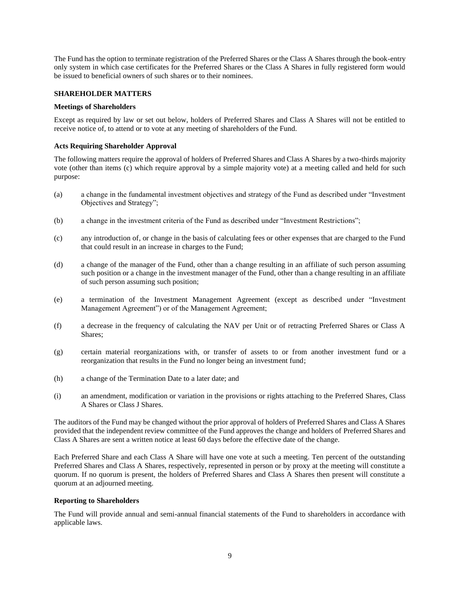The Fund has the option to terminate registration of the Preferred Shares or the Class A Shares through the book-entry only system in which case certificates for the Preferred Shares or the Class A Shares in fully registered form would be issued to beneficial owners of such shares or to their nominees.

## <span id="page-11-0"></span>**SHAREHOLDER MATTERS**

#### <span id="page-11-1"></span>**Meetings of Shareholders**

Except as required by law or set out below, holders of Preferred Shares and Class A Shares will not be entitled to receive notice of, to attend or to vote at any meeting of shareholders of the Fund.

## <span id="page-11-2"></span>**Acts Requiring Shareholder Approval**

The following matters require the approval of holders of Preferred Shares and Class A Shares by a two-thirds majority vote (other than items (c) which require approval by a simple majority vote) at a meeting called and held for such purpose:

- (a) a change in the fundamental investment objectives and strategy of the Fund as described under "Investment Objectives and Strategy";
- (b) a change in the investment criteria of the Fund as described under "Investment Restrictions";
- (c) any introduction of, or change in the basis of calculating fees or other expenses that are charged to the Fund that could result in an increase in charges to the Fund;
- (d) a change of the manager of the Fund, other than a change resulting in an affiliate of such person assuming such position or a change in the investment manager of the Fund, other than a change resulting in an affiliate of such person assuming such position;
- (e) a termination of the Investment Management Agreement (except as described under "Investment Management Agreement") or of the Management Agreement;
- (f) a decrease in the frequency of calculating the NAV per Unit or of retracting Preferred Shares or Class A Shares;
- (g) certain material reorganizations with, or transfer of assets to or from another investment fund or a reorganization that results in the Fund no longer being an investment fund;
- (h) a change of the Termination Date to a later date; and
- (i) an amendment, modification or variation in the provisions or rights attaching to the Preferred Shares, Class A Shares or Class J Shares.

The auditors of the Fund may be changed without the prior approval of holders of Preferred Shares and Class A Shares provided that the independent review committee of the Fund approves the change and holders of Preferred Shares and Class A Shares are sent a written notice at least 60 days before the effective date of the change.

Each Preferred Share and each Class A Share will have one vote at such a meeting. Ten percent of the outstanding Preferred Shares and Class A Shares, respectively, represented in person or by proxy at the meeting will constitute a quorum. If no quorum is present, the holders of Preferred Shares and Class A Shares then present will constitute a quorum at an adjourned meeting.

#### <span id="page-11-3"></span>**Reporting to Shareholders**

The Fund will provide annual and semi-annual financial statements of the Fund to shareholders in accordance with applicable laws.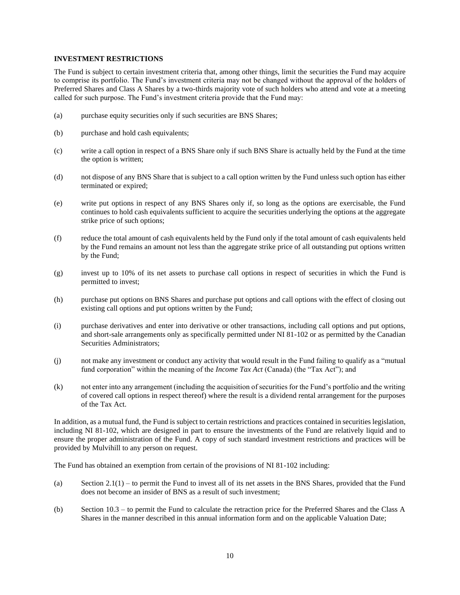#### <span id="page-12-0"></span>**INVESTMENT RESTRICTIONS**

The Fund is subject to certain investment criteria that, among other things, limit the securities the Fund may acquire to comprise its portfolio. The Fund's investment criteria may not be changed without the approval of the holders of Preferred Shares and Class A Shares by a two-thirds majority vote of such holders who attend and vote at a meeting called for such purpose. The Fund's investment criteria provide that the Fund may:

- (a) purchase equity securities only if such securities are BNS Shares;
- (b) purchase and hold cash equivalents;
- (c) write a call option in respect of a BNS Share only if such BNS Share is actually held by the Fund at the time the option is written;
- (d) not dispose of any BNS Share that is subject to a call option written by the Fund unless such option has either terminated or expired;
- (e) write put options in respect of any BNS Shares only if, so long as the options are exercisable, the Fund continues to hold cash equivalents sufficient to acquire the securities underlying the options at the aggregate strike price of such options;
- (f) reduce the total amount of cash equivalents held by the Fund only if the total amount of cash equivalents held by the Fund remains an amount not less than the aggregate strike price of all outstanding put options written by the Fund;
- (g) invest up to 10% of its net assets to purchase call options in respect of securities in which the Fund is permitted to invest;
- (h) purchase put options on BNS Shares and purchase put options and call options with the effect of closing out existing call options and put options written by the Fund;
- (i) purchase derivatives and enter into derivative or other transactions, including call options and put options, and short-sale arrangements only as specifically permitted under NI 81-102 or as permitted by the Canadian Securities Administrators;
- (j) not make any investment or conduct any activity that would result in the Fund failing to qualify as a "mutual fund corporation" within the meaning of the *Income Tax Act* (Canada) (the "Tax Act"); and
- (k) not enter into any arrangement (including the acquisition of securities for the Fund's portfolio and the writing of covered call options in respect thereof) where the result is a dividend rental arrangement for the purposes of the Tax Act.

In addition, as a mutual fund, the Fund is subject to certain restrictions and practices contained in securities legislation, including NI 81-102, which are designed in part to ensure the investments of the Fund are relatively liquid and to ensure the proper administration of the Fund. A copy of such standard investment restrictions and practices will be provided by Mulvihill to any person on request.

The Fund has obtained an exemption from certain of the provisions of NI 81-102 including:

- (a) Section  $2.1(1)$  to permit the Fund to invest all of its net assets in the BNS Shares, provided that the Fund does not become an insider of BNS as a result of such investment;
- (b) Section 10.3 to permit the Fund to calculate the retraction price for the Preferred Shares and the Class A Shares in the manner described in this annual information form and on the applicable Valuation Date;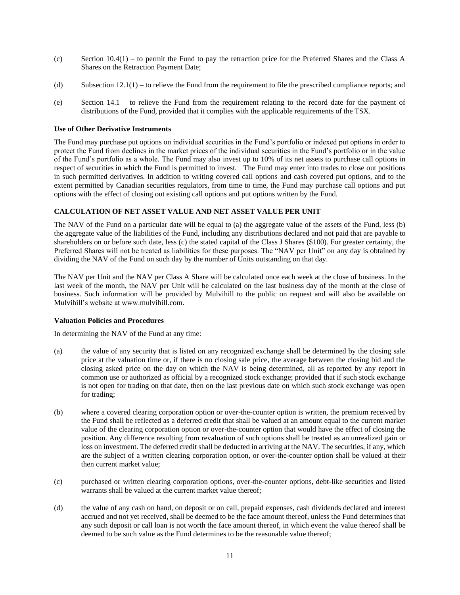- (c) Section  $10.4(1)$  to permit the Fund to pay the retraction price for the Preferred Shares and the Class A Shares on the Retraction Payment Date;
- (d) Subsection 12.1(1) to relieve the Fund from the requirement to file the prescribed compliance reports; and
- (e) Section 14.1 to relieve the Fund from the requirement relating to the record date for the payment of distributions of the Fund, provided that it complies with the applicable requirements of the TSX.

#### <span id="page-13-0"></span>**Use of Other Derivative Instruments**

The Fund may purchase put options on individual securities in the Fund's portfolio or indexed put options in order to protect the Fund from declines in the market prices of the individual securities in the Fund's portfolio or in the value of the Fund's portfolio as a whole. The Fund may also invest up to 10% of its net assets to purchase call options in respect of securities in which the Fund is permitted to invest. The Fund may enter into trades to close out positions in such permitted derivatives. In addition to writing covered call options and cash covered put options, and to the extent permitted by Canadian securities regulators, from time to time, the Fund may purchase call options and put options with the effect of closing out existing call options and put options written by the Fund.

## <span id="page-13-1"></span>**CALCULATION OF NET ASSET VALUE AND NET ASSET VALUE PER UNIT**

The NAV of the Fund on a particular date will be equal to (a) the aggregate value of the assets of the Fund, less (b) the aggregate value of the liabilities of the Fund, including any distributions declared and not paid that are payable to shareholders on or before such date, less (c) the stated capital of the Class J Shares (\$100). For greater certainty, the Preferred Shares will not be treated as liabilities for these purposes. The "NAV per Unit" on any day is obtained by dividing the NAV of the Fund on such day by the number of Units outstanding on that day.

The NAV per Unit and the NAV per Class A Share will be calculated once each week at the close of business. In the last week of the month, the NAV per Unit will be calculated on the last business day of the month at the close of business. Such information will be provided by Mulvihill to the public on request and will also be available on Mulvihill's website at www.mulvihill.com.

#### <span id="page-13-2"></span>**Valuation Policies and Procedures**

In determining the NAV of the Fund at any time:

- (a) the value of any security that is listed on any recognized exchange shall be determined by the closing sale price at the valuation time or, if there is no closing sale price, the average between the closing bid and the closing asked price on the day on which the NAV is being determined, all as reported by any report in common use or authorized as official by a recognized stock exchange; provided that if such stock exchange is not open for trading on that date, then on the last previous date on which such stock exchange was open for trading;
- (b) where a covered clearing corporation option or over-the-counter option is written, the premium received by the Fund shall be reflected as a deferred credit that shall be valued at an amount equal to the current market value of the clearing corporation option or over-the-counter option that would have the effect of closing the position. Any difference resulting from revaluation of such options shall be treated as an unrealized gain or loss on investment. The deferred credit shall be deducted in arriving at the NAV. The securities, if any, which are the subject of a written clearing corporation option, or over-the-counter option shall be valued at their then current market value;
- (c) purchased or written clearing corporation options, over-the-counter options, debt-like securities and listed warrants shall be valued at the current market value thereof;
- (d) the value of any cash on hand, on deposit or on call, prepaid expenses, cash dividends declared and interest accrued and not yet received, shall be deemed to be the face amount thereof, unless the Fund determines that any such deposit or call loan is not worth the face amount thereof, in which event the value thereof shall be deemed to be such value as the Fund determines to be the reasonable value thereof;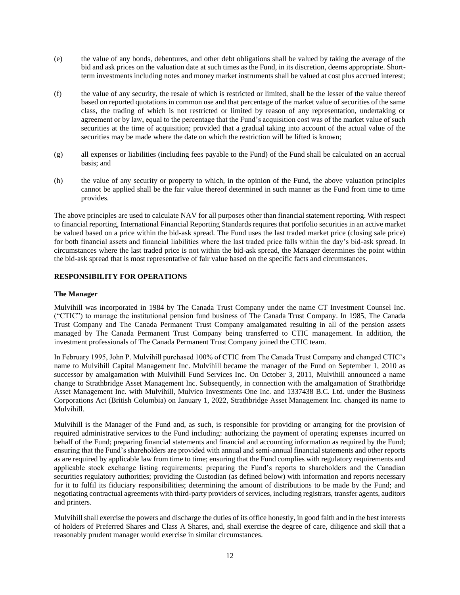- (e) the value of any bonds, debentures, and other debt obligations shall be valued by taking the average of the bid and ask prices on the valuation date at such times as the Fund, in its discretion, deems appropriate. Shortterm investments including notes and money market instruments shall be valued at cost plus accrued interest;
- (f) the value of any security, the resale of which is restricted or limited, shall be the lesser of the value thereof based on reported quotations in common use and that percentage of the market value of securities of the same class, the trading of which is not restricted or limited by reason of any representation, undertaking or agreement or by law, equal to the percentage that the Fund's acquisition cost was of the market value of such securities at the time of acquisition; provided that a gradual taking into account of the actual value of the securities may be made where the date on which the restriction will be lifted is known;
- (g) all expenses or liabilities (including fees payable to the Fund) of the Fund shall be calculated on an accrual basis; and
- (h) the value of any security or property to which, in the opinion of the Fund, the above valuation principles cannot be applied shall be the fair value thereof determined in such manner as the Fund from time to time provides.

The above principles are used to calculate NAV for all purposes other than financial statement reporting. With respect to financial reporting, International Financial Reporting Standards requires that portfolio securities in an active market be valued based on a price within the bid-ask spread. The Fund uses the last traded market price (closing sale price) for both financial assets and financial liabilities where the last traded price falls within the day's bid-ask spread. In circumstances where the last traded price is not within the bid-ask spread, the Manager determines the point within the bid-ask spread that is most representative of fair value based on the specific facts and circumstances.

## <span id="page-14-0"></span>**RESPONSIBILITY FOR OPERATIONS**

## <span id="page-14-1"></span>**The Manager**

Mulvihill was incorporated in 1984 by The Canada Trust Company under the name CT Investment Counsel Inc. ("CTIC") to manage the institutional pension fund business of The Canada Trust Company. In 1985, The Canada Trust Company and The Canada Permanent Trust Company amalgamated resulting in all of the pension assets managed by The Canada Permanent Trust Company being transferred to CTIC management. In addition, the investment professionals of The Canada Permanent Trust Company joined the CTIC team.

In February 1995, John P. Mulvihill purchased 100% of CTIC from The Canada Trust Company and changed CTIC's name to Mulvihill Capital Management Inc. Mulvihill became the manager of the Fund on September 1, 2010 as successor by amalgamation with Mulvihill Fund Services Inc. On October 3, 2011, Mulvihill announced a name change to Strathbridge Asset Management Inc. Subsequently, in connection with the amalgamation of Strathbridge Asset Management Inc. with Mulvihill, Mulvico Investments One Inc. and 1337438 B.C. Ltd. under the Business Corporations Act (British Columbia) on January 1, 2022, Strathbridge Asset Management Inc. changed its name to Mulvihill.

Mulvihill is the Manager of the Fund and, as such, is responsible for providing or arranging for the provision of required administrative services to the Fund including: authorizing the payment of operating expenses incurred on behalf of the Fund; preparing financial statements and financial and accounting information as required by the Fund; ensuring that the Fund's shareholders are provided with annual and semi-annual financial statements and other reports as are required by applicable law from time to time; ensuring that the Fund complies with regulatory requirements and applicable stock exchange listing requirements; preparing the Fund's reports to shareholders and the Canadian securities regulatory authorities; providing the Custodian (as defined below) with information and reports necessary for it to fulfil its fiduciary responsibilities; determining the amount of distributions to be made by the Fund; and negotiating contractual agreements with third-party providers of services, including registrars, transfer agents, auditors and printers.

Mulvihill shall exercise the powers and discharge the duties of its office honestly, in good faith and in the best interests of holders of Preferred Shares and Class A Shares, and, shall exercise the degree of care, diligence and skill that a reasonably prudent manager would exercise in similar circumstances.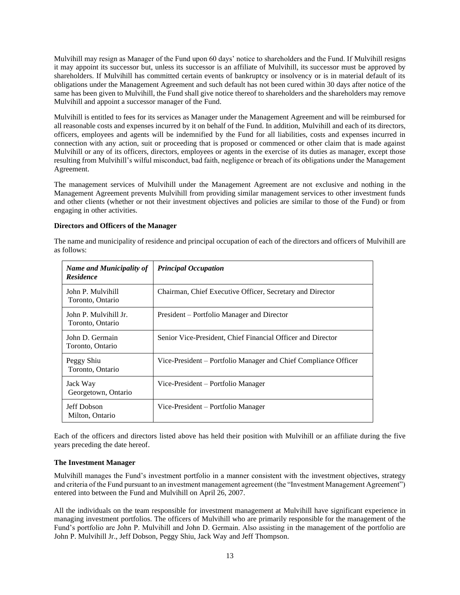Mulvihill may resign as Manager of the Fund upon 60 days' notice to shareholders and the Fund. If Mulvihill resigns it may appoint its successor but, unless its successor is an affiliate of Mulvihill, its successor must be approved by shareholders. If Mulvihill has committed certain events of bankruptcy or insolvency or is in material default of its obligations under the Management Agreement and such default has not been cured within 30 days after notice of the same has been given to Mulvihill, the Fund shall give notice thereof to shareholders and the shareholders may remove Mulvihill and appoint a successor manager of the Fund.

Mulvihill is entitled to fees for its services as Manager under the Management Agreement and will be reimbursed for all reasonable costs and expenses incurred by it on behalf of the Fund. In addition, Mulvihill and each of its directors, officers, employees and agents will be indemnified by the Fund for all liabilities, costs and expenses incurred in connection with any action, suit or proceeding that is proposed or commenced or other claim that is made against Mulvihill or any of its officers, directors, employees or agents in the exercise of its duties as manager, except those resulting from Mulvihill's wilful misconduct, bad faith, negligence or breach of its obligations under the Management Agreement.

The management services of Mulvihill under the Management Agreement are not exclusive and nothing in the Management Agreement prevents Mulvihill from providing similar management services to other investment funds and other clients (whether or not their investment objectives and policies are similar to those of the Fund) or from engaging in other activities.

## <span id="page-15-0"></span>**Directors and Officers of the Manager**

The name and municipality of residence and principal occupation of each of the directors and officers of Mulvihill are as follows:

| <b>Name and Municipality of</b><br><b>Residence</b> | <b>Principal Occupation</b>                                     |
|-----------------------------------------------------|-----------------------------------------------------------------|
| John P. Mulvihill<br>Toronto, Ontario               | Chairman, Chief Executive Officer, Secretary and Director       |
| John P. Mulvihill Jr.<br>Toronto, Ontario           | President – Portfolio Manager and Director                      |
| John D. Germain<br>Toronto, Ontario                 | Senior Vice-President, Chief Financial Officer and Director     |
| Peggy Shiu<br>Toronto, Ontario                      | Vice-President – Portfolio Manager and Chief Compliance Officer |
| Jack Way<br>Georgetown, Ontario                     | Vice-President – Portfolio Manager                              |
| Jeff Dobson<br>Milton, Ontario                      | Vice-President – Portfolio Manager                              |

Each of the officers and directors listed above has held their position with Mulvihill or an affiliate during the five years preceding the date hereof.

#### <span id="page-15-1"></span>**The Investment Manager**

Mulvihill manages the Fund's investment portfolio in a manner consistent with the investment objectives, strategy and criteria of the Fund pursuant to an investment management agreement (the "Investment Management Agreement") entered into between the Fund and Mulvihill on April 26, 2007.

All the individuals on the team responsible for investment management at Mulvihill have significant experience in managing investment portfolios. The officers of Mulvihill who are primarily responsible for the management of the Fund's portfolio are John P. Mulvihill and John D. Germain. Also assisting in the management of the portfolio are John P. Mulvihill Jr., Jeff Dobson, Peggy Shiu, Jack Way and Jeff Thompson.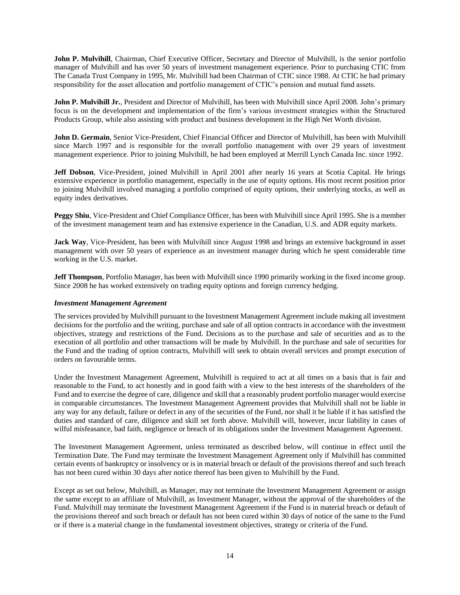<span id="page-16-0"></span>**John P. Mulvihill**, Chairman, Chief Executive Officer, Secretary and Director of Mulvihill, is the senior portfolio manager of Mulvihill and has over 50 years of investment management experience. Prior to purchasing CTIC from The Canada Trust Company in 1995, Mr. Mulvihill had been Chairman of CTIC since 1988. At CTIC he had primary responsibility for the asset allocation and portfolio management of CTIC's pension and mutual fund assets.

**John P. Mulvihill Jr.**, President and Director of Mulvihill, has been with Mulvihill since April 2008. John's primary focus is on the development and implementation of the firm's various investment strategies within the Structured Products Group, while also assisting with product and business development in the High Net Worth division.

**John D. Germain**, Senior Vice-President, Chief Financial Officer and Director of Mulvihill, has been with Mulvihill since March 1997 and is responsible for the overall portfolio management with over 29 years of investment management experience. Prior to joining Mulvihill, he had been employed at Merrill Lynch Canada Inc. since 1992.

**Jeff Dobson**, Vice-President, joined Mulvihill in April 2001 after nearly 16 years at Scotia Capital. He brings extensive experience in portfolio management, especially in the use of equity options. His most recent position prior to joining Mulvihill involved managing a portfolio comprised of equity options, their underlying stocks, as well as equity index derivatives.

**Peggy Shiu**, Vice-President and Chief Compliance Officer, has been with Mulvihill since April 1995. She is a member of the investment management team and has extensive experience in the Canadian, U.S. and ADR equity markets.

**Jack Way**, Vice-President, has been with Mulvihill since August 1998 and brings an extensive background in asset management with over 50 years of experience as an investment manager during which he spent considerable time working in the U.S. market.

**Jeff Thompson**, Portfolio Manager, has been with Mulvihill since 1990 primarily working in the fixed income group. Since 2008 he has worked extensively on trading equity options and foreign currency hedging.

#### *Investment Management Agreement*

The services provided by Mulvihill pursuant to the Investment Management Agreement include making all investment decisions for the portfolio and the writing, purchase and sale of all option contracts in accordance with the investment objectives, strategy and restrictions of the Fund. Decisions as to the purchase and sale of securities and as to the execution of all portfolio and other transactions will be made by Mulvihill. In the purchase and sale of securities for the Fund and the trading of option contracts, Mulvihill will seek to obtain overall services and prompt execution of orders on favourable terms.

Under the Investment Management Agreement, Mulvihill is required to act at all times on a basis that is fair and reasonable to the Fund, to act honestly and in good faith with a view to the best interests of the shareholders of the Fund and to exercise the degree of care, diligence and skill that a reasonably prudent portfolio manager would exercise in comparable circumstances. The Investment Management Agreement provides that Mulvihill shall not be liable in any way for any default, failure or defect in any of the securities of the Fund, nor shall it be liable if it has satisfied the duties and standard of care, diligence and skill set forth above. Mulvihill will, however, incur liability in cases of wilful misfeasance, bad faith, negligence or breach of its obligations under the Investment Management Agreement.

The Investment Management Agreement, unless terminated as described below, will continue in effect until the Termination Date. The Fund may terminate the Investment Management Agreement only if Mulvihill has committed certain events of bankruptcy or insolvency or is in material breach or default of the provisions thereof and such breach has not been cured within 30 days after notice thereof has been given to Mulvihill by the Fund.

Except as set out below, Mulvihill, as Manager, may not terminate the Investment Management Agreement or assign the same except to an affiliate of Mulvihill, as Investment Manager, without the approval of the shareholders of the Fund. Mulvihill may terminate the Investment Management Agreement if the Fund is in material breach or default of the provisions thereof and such breach or default has not been cured within 30 days of notice of the same to the Fund or if there is a material change in the fundamental investment objectives, strategy or criteria of the Fund.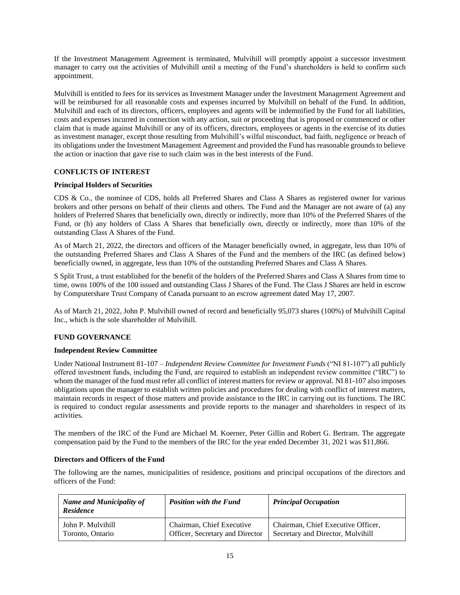If the Investment Management Agreement is terminated, Mulvihill will promptly appoint a successor investment manager to carry out the activities of Mulvihill until a meeting of the Fund's shareholders is held to confirm such appointment.

Mulvihill is entitled to fees for its services as Investment Manager under the Investment Management Agreement and will be reimbursed for all reasonable costs and expenses incurred by Mulvihill on behalf of the Fund. In addition, Mulvihill and each of its directors, officers, employees and agents will be indemnified by the Fund for all liabilities, costs and expenses incurred in connection with any action, suit or proceeding that is proposed or commenced or other claim that is made against Mulvihill or any of its officers, directors, employees or agents in the exercise of its duties as investment manager, except those resulting from Mulvihill's wilful misconduct, bad faith, negligence or breach of its obligations under the Investment Management Agreement and provided the Fund has reasonable grounds to believe the action or inaction that gave rise to such claim was in the best interests of the Fund.

## <span id="page-17-0"></span>**CONFLICTS OF INTEREST**

## <span id="page-17-1"></span>**Principal Holders of Securities**

CDS & Co., the nominee of CDS, holds all Preferred Shares and Class A Shares as registered owner for various brokers and other persons on behalf of their clients and others. The Fund and the Manager are not aware of (a) any holders of Preferred Shares that beneficially own, directly or indirectly, more than 10% of the Preferred Shares of the Fund, or (b) any holders of Class A Shares that beneficially own, directly or indirectly, more than 10% of the outstanding Class A Shares of the Fund.

As of March 21, 2022, the directors and officers of the Manager beneficially owned, in aggregate, less than 10% of the outstanding Preferred Shares and Class A Shares of the Fund and the members of the IRC (as defined below) beneficially owned, in aggregate, less than 10% of the outstanding Preferred Shares and Class A Shares.

S Split Trust, a trust established for the benefit of the holders of the Preferred Shares and Class A Shares from time to time, owns 100% of the 100 issued and outstanding Class J Shares of the Fund. The Class J Shares are held in escrow by Computershare Trust Company of Canada pursuant to an escrow agreement dated May 17, 2007.

As of March 21, 2022, John P. Mulvihill owned of record and beneficially 95,073 shares (100%) of Mulvihill Capital Inc., which is the sole shareholder of Mulvihill.

## <span id="page-17-2"></span>**FUND GOVERNANCE**

## <span id="page-17-3"></span>**Independent Review Committee**

Under National Instrument 81-107 – *Independent Review Committee for Investment Funds* ("NI 81-107") all publicly offered investment funds, including the Fund, are required to establish an independent review committee ("IRC") to whom the manager of the fund must refer all conflict of interest matters for review or approval. NI 81-107 also imposes obligations upon the manager to establish written policies and procedures for dealing with conflict of interest matters, maintain records in respect of those matters and provide assistance to the IRC in carrying out its functions. The IRC is required to conduct regular assessments and provide reports to the manager and shareholders in respect of its activities.

The members of the IRC of the Fund are Michael M. Koerner, Peter Gillin and Robert G. Bertram. The aggregate compensation paid by the Fund to the members of the IRC for the year ended December 31, 2021 was \$11,866.

## <span id="page-17-4"></span>**Directors and Officers of the Fund**

The following are the names, municipalities of residence, positions and principal occupations of the directors and officers of the Fund:

| <b>Name and Municipality of</b><br><b>Residence</b> | <b>Position with the Fund</b>   | <b>Principal Occupation</b>        |
|-----------------------------------------------------|---------------------------------|------------------------------------|
| John P. Mulvihill                                   | Chairman, Chief Executive       | Chairman, Chief Executive Officer, |
| Toronto, Ontario                                    | Officer, Secretary and Director | Secretary and Director, Mulvihill  |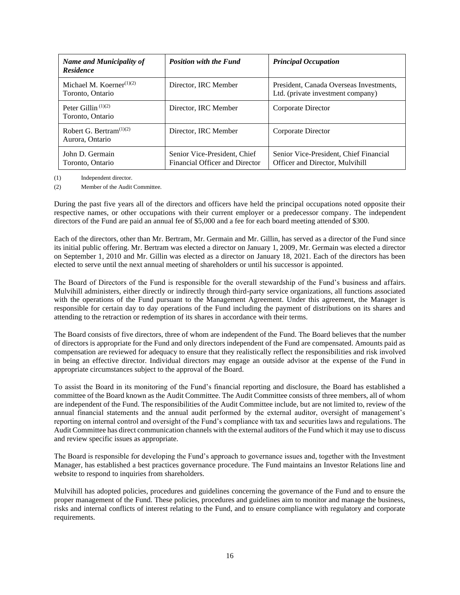| <b>Name and Municipality of</b><br><b>Residence</b> | <b>Position with the Fund</b>                                  | <b>Principal Occupation</b>                                                  |
|-----------------------------------------------------|----------------------------------------------------------------|------------------------------------------------------------------------------|
| Michael M. Koerner $(1)(2)$<br>Toronto, Ontario     | Director, IRC Member                                           | President, Canada Overseas Investments,<br>Ltd. (private investment company) |
| Peter Gillin $(1)(2)$<br>Toronto, Ontario           | Director, IRC Member                                           | Corporate Director                                                           |
| Robert G. Bertram $(1)(2)$<br>Aurora, Ontario       | Director. IRC Member                                           | Corporate Director                                                           |
| John D. Germain<br>Toronto, Ontario                 | Senior Vice-President, Chief<br>Financial Officer and Director | Senior Vice-President, Chief Financial<br>Officer and Director, Mulvihill    |

(1) Independent director.

(2) Member of the Audit Committee.

During the past five years all of the directors and officers have held the principal occupations noted opposite their respective names, or other occupations with their current employer or a predecessor company. The independent directors of the Fund are paid an annual fee of \$5,000 and a fee for each board meeting attended of \$300.

Each of the directors, other than Mr. Bertram, Mr. Germain and Mr. Gillin, has served as a director of the Fund since its initial public offering. Mr. Bertram was elected a director on January 1, 2009, Mr. Germain was elected a director on September 1, 2010 and Mr. Gillin was elected as a director on January 18, 2021. Each of the directors has been elected to serve until the next annual meeting of shareholders or until his successor is appointed.

The Board of Directors of the Fund is responsible for the overall stewardship of the Fund's business and affairs. Mulvihill administers, either directly or indirectly through third-party service organizations, all functions associated with the operations of the Fund pursuant to the Management Agreement. Under this agreement, the Manager is responsible for certain day to day operations of the Fund including the payment of distributions on its shares and attending to the retraction or redemption of its shares in accordance with their terms.

The Board consists of five directors, three of whom are independent of the Fund. The Board believes that the number of directors is appropriate for the Fund and only directors independent of the Fund are compensated. Amounts paid as compensation are reviewed for adequacy to ensure that they realistically reflect the responsibilities and risk involved in being an effective director. Individual directors may engage an outside advisor at the expense of the Fund in appropriate circumstances subject to the approval of the Board.

To assist the Board in its monitoring of the Fund's financial reporting and disclosure, the Board has established a committee of the Board known as the Audit Committee. The Audit Committee consists of three members, all of whom are independent of the Fund. The responsibilities of the Audit Committee include, but are not limited to, review of the annual financial statements and the annual audit performed by the external auditor, oversight of management's reporting on internal control and oversight of the Fund's compliance with tax and securities laws and regulations. The Audit Committee has direct communication channels with the external auditors of the Fund which it may use to discuss and review specific issues as appropriate.

The Board is responsible for developing the Fund's approach to governance issues and, together with the Investment Manager, has established a best practices governance procedure. The Fund maintains an Investor Relations line and website to respond to inquiries from shareholders.

Mulvihill has adopted policies, procedures and guidelines concerning the governance of the Fund and to ensure the proper management of the Fund. These policies, procedures and guidelines aim to monitor and manage the business, risks and internal conflicts of interest relating to the Fund, and to ensure compliance with regulatory and corporate requirements.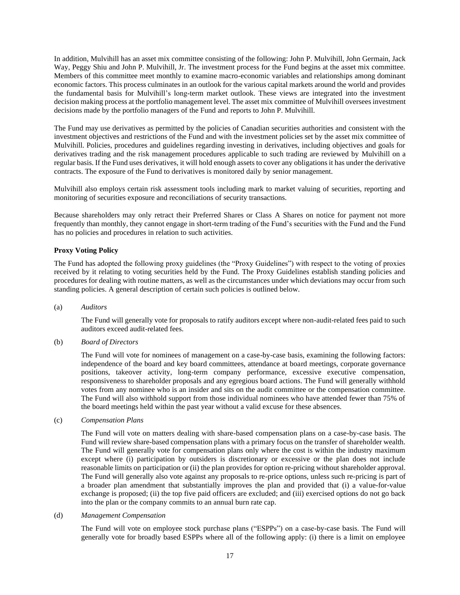In addition, Mulvihill has an asset mix committee consisting of the following: John P. Mulvihill, John Germain, Jack Way, Peggy Shiu and John P. Mulvihill, Jr. The investment process for the Fund begins at the asset mix committee. Members of this committee meet monthly to examine macro-economic variables and relationships among dominant economic factors. This process culminates in an outlook for the various capital markets around the world and provides the fundamental basis for Mulvihill's long-term market outlook. These views are integrated into the investment decision making process at the portfolio management level. The asset mix committee of Mulvihill oversees investment decisions made by the portfolio managers of the Fund and reports to John P. Mulvihill.

The Fund may use derivatives as permitted by the policies of Canadian securities authorities and consistent with the investment objectives and restrictions of the Fund and with the investment policies set by the asset mix committee of Mulvihill. Policies, procedures and guidelines regarding investing in derivatives, including objectives and goals for derivatives trading and the risk management procedures applicable to such trading are reviewed by Mulvihill on a regular basis. If the Fund uses derivatives, it will hold enough assets to cover any obligations it has under the derivative contracts. The exposure of the Fund to derivatives is monitored daily by senior management.

Mulvihill also employs certain risk assessment tools including mark to market valuing of securities, reporting and monitoring of securities exposure and reconciliations of security transactions.

Because shareholders may only retract their Preferred Shares or Class A Shares on notice for payment not more frequently than monthly, they cannot engage in short-term trading of the Fund's securities with the Fund and the Fund has no policies and procedures in relation to such activities.

## <span id="page-19-0"></span>**Proxy Voting Policy**

The Fund has adopted the following proxy guidelines (the "Proxy Guidelines") with respect to the voting of proxies received by it relating to voting securities held by the Fund. The Proxy Guidelines establish standing policies and procedures for dealing with routine matters, as well as the circumstances under which deviations may occur from such standing policies. A general description of certain such policies is outlined below.

(a) *Auditors* 

The Fund will generally vote for proposals to ratify auditors except where non-audit-related fees paid to such auditors exceed audit-related fees.

(b) *Board of Directors* 

The Fund will vote for nominees of management on a case-by-case basis, examining the following factors: independence of the board and key board committees, attendance at board meetings, corporate governance positions, takeover activity, long-term company performance, excessive executive compensation, responsiveness to shareholder proposals and any egregious board actions. The Fund will generally withhold votes from any nominee who is an insider and sits on the audit committee or the compensation committee. The Fund will also withhold support from those individual nominees who have attended fewer than 75% of the board meetings held within the past year without a valid excuse for these absences.

(c) *Compensation Plans* 

The Fund will vote on matters dealing with share-based compensation plans on a case-by-case basis. The Fund will review share-based compensation plans with a primary focus on the transfer of shareholder wealth. The Fund will generally vote for compensation plans only where the cost is within the industry maximum except where (i) participation by outsiders is discretionary or excessive or the plan does not include reasonable limits on participation or (ii) the plan provides for option re-pricing without shareholder approval. The Fund will generally also vote against any proposals to re-price options, unless such re-pricing is part of a broader plan amendment that substantially improves the plan and provided that (i) a value-for-value exchange is proposed; (ii) the top five paid officers are excluded; and (iii) exercised options do not go back into the plan or the company commits to an annual burn rate cap.

#### (d) *Management Compensation*

The Fund will vote on employee stock purchase plans ("ESPPs") on a case-by-case basis. The Fund will generally vote for broadly based ESPPs where all of the following apply: (i) there is a limit on employee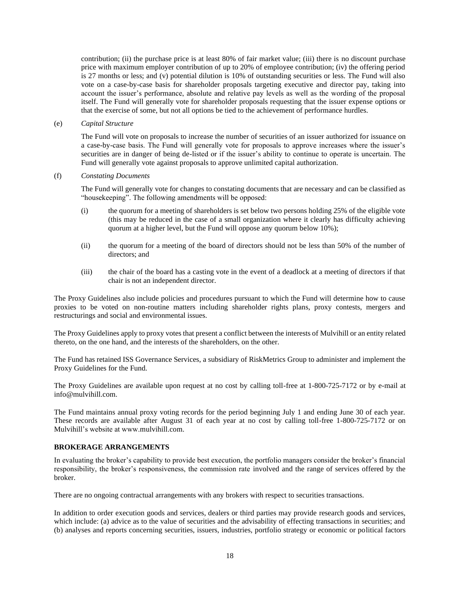contribution; (ii) the purchase price is at least 80% of fair market value; (iii) there is no discount purchase price with maximum employer contribution of up to 20% of employee contribution; (iv) the offering period is 27 months or less; and (v) potential dilution is 10% of outstanding securities or less. The Fund will also vote on a case-by-case basis for shareholder proposals targeting executive and director pay, taking into account the issuer's performance, absolute and relative pay levels as well as the wording of the proposal itself. The Fund will generally vote for shareholder proposals requesting that the issuer expense options or that the exercise of some, but not all options be tied to the achievement of performance hurdles.

(e) *Capital Structure* 

The Fund will vote on proposals to increase the number of securities of an issuer authorized for issuance on a case-by-case basis. The Fund will generally vote for proposals to approve increases where the issuer's securities are in danger of being de-listed or if the issuer's ability to continue to operate is uncertain. The Fund will generally vote against proposals to approve unlimited capital authorization.

#### (f) *Constating Documents*

The Fund will generally vote for changes to constating documents that are necessary and can be classified as "housekeeping". The following amendments will be opposed:

- (i) the quorum for a meeting of shareholders is set below two persons holding 25% of the eligible vote (this may be reduced in the case of a small organization where it clearly has difficulty achieving quorum at a higher level, but the Fund will oppose any quorum below 10%);
- (ii) the quorum for a meeting of the board of directors should not be less than 50% of the number of directors; and
- (iii) the chair of the board has a casting vote in the event of a deadlock at a meeting of directors if that chair is not an independent director.

The Proxy Guidelines also include policies and procedures pursuant to which the Fund will determine how to cause proxies to be voted on non-routine matters including shareholder rights plans, proxy contests, mergers and restructurings and social and environmental issues.

The Proxy Guidelines apply to proxy votes that present a conflict between the interests of Mulvihill or an entity related thereto, on the one hand, and the interests of the shareholders, on the other.

The Fund has retained ISS Governance Services, a subsidiary of RiskMetrics Group to administer and implement the Proxy Guidelines for the Fund.

The Proxy Guidelines are available upon request at no cost by calling toll-free at 1-800-725-7172 or by e-mail at [info@mulvihill.com.](mailto:hybrid@mulvihill.com)

The Fund maintains annual proxy voting records for the period beginning July 1 and ending June 30 of each year. These records are available after August 31 of each year at no cost by calling toll-free 1-800-725-7172 or on Mulvihill's website at www.mulvihill.com.

#### <span id="page-20-0"></span>**BROKERAGE ARRANGEMENTS**

In evaluating the broker's capability to provide best execution, the portfolio managers consider the broker's financial responsibility, the broker's responsiveness, the commission rate involved and the range of services offered by the broker.

There are no ongoing contractual arrangements with any brokers with respect to securities transactions.

In addition to order execution goods and services, dealers or third parties may provide research goods and services, which include: (a) advice as to the value of securities and the advisability of effecting transactions in securities; and (b) analyses and reports concerning securities, issuers, industries, portfolio strategy or economic or political factors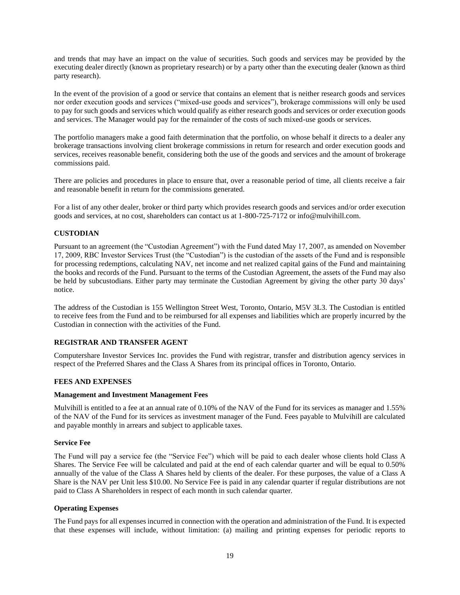and trends that may have an impact on the value of securities. Such goods and services may be provided by the executing dealer directly (known as proprietary research) or by a party other than the executing dealer (known as third party research).

In the event of the provision of a good or service that contains an element that is neither research goods and services nor order execution goods and services ("mixed-use goods and services"), brokerage commissions will only be used to pay for such goods and services which would qualify as either research goods and services or order execution goods and services. The Manager would pay for the remainder of the costs of such mixed-use goods or services.

The portfolio managers make a good faith determination that the portfolio, on whose behalf it directs to a dealer any brokerage transactions involving client brokerage commissions in return for research and order execution goods and services, receives reasonable benefit, considering both the use of the goods and services and the amount of brokerage commissions paid.

There are policies and procedures in place to ensure that, over a reasonable period of time, all clients receive a fair and reasonable benefit in return for the commissions generated.

For a list of any other dealer, broker or third party which provides research goods and services and/or order execution goods and services, at no cost, shareholders can contact us at 1-800-725-7172 or info@mulvihill.com.

## <span id="page-21-0"></span>**CUSTODIAN**

Pursuant to an agreement (the "Custodian Agreement") with the Fund dated May 17, 2007, as amended on November 17, 2009, RBC Investor Services Trust (the "Custodian") is the custodian of the assets of the Fund and is responsible for processing redemptions, calculating NAV, net income and net realized capital gains of the Fund and maintaining the books and records of the Fund. Pursuant to the terms of the Custodian Agreement, the assets of the Fund may also be held by subcustodians. Either party may terminate the Custodian Agreement by giving the other party 30 days' notice.

The address of the Custodian is 155 Wellington Street West, Toronto, Ontario, M5V 3L3. The Custodian is entitled to receive fees from the Fund and to be reimbursed for all expenses and liabilities which are properly incurred by the Custodian in connection with the activities of the Fund.

#### <span id="page-21-1"></span>**REGISTRAR AND TRANSFER AGENT**

Computershare Investor Services Inc. provides the Fund with registrar, transfer and distribution agency services in respect of the Preferred Shares and the Class A Shares from its principal offices in Toronto, Ontario.

#### <span id="page-21-2"></span>**FEES AND EXPENSES**

#### <span id="page-21-3"></span>**Management and Investment Management Fees**

Mulvihill is entitled to a fee at an annual rate of 0.10% of the NAV of the Fund for its services as manager and 1.55% of the NAV of the Fund for its services as investment manager of the Fund. Fees payable to Mulvihill are calculated and payable monthly in arrears and subject to applicable taxes.

#### <span id="page-21-4"></span>**Service Fee**

The Fund will pay a service fee (the "Service Fee") which will be paid to each dealer whose clients hold Class A Shares. The Service Fee will be calculated and paid at the end of each calendar quarter and will be equal to 0.50% annually of the value of the Class A Shares held by clients of the dealer. For these purposes, the value of a Class A Share is the NAV per Unit less \$10.00. No Service Fee is paid in any calendar quarter if regular distributions are not paid to Class A Shareholders in respect of each month in such calendar quarter.

#### <span id="page-21-5"></span>**Operating Expenses**

The Fund pays for all expenses incurred in connection with the operation and administration of the Fund. It is expected that these expenses will include, without limitation: (a) mailing and printing expenses for periodic reports to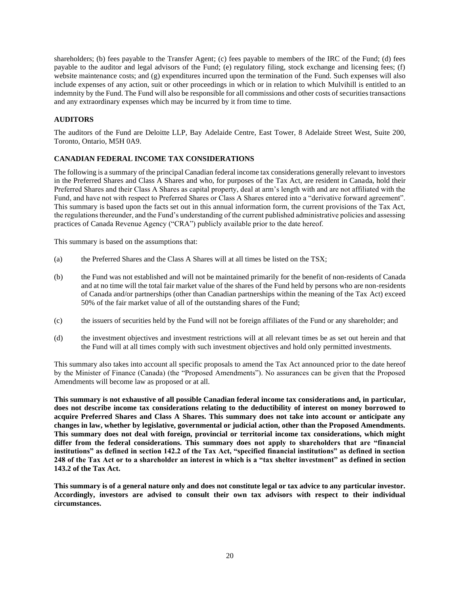shareholders; (b) fees payable to the Transfer Agent; (c) fees payable to members of the IRC of the Fund; (d) fees payable to the auditor and legal advisors of the Fund; (e) regulatory filing, stock exchange and licensing fees; (f) website maintenance costs; and (g) expenditures incurred upon the termination of the Fund. Such expenses will also include expenses of any action, suit or other proceedings in which or in relation to which Mulvihill is entitled to an indemnity by the Fund. The Fund will also be responsible for all commissions and other costs of securities transactions and any extraordinary expenses which may be incurred by it from time to time.

## <span id="page-22-0"></span>**AUDITORS**

The auditors of the Fund are Deloitte LLP, Bay Adelaide Centre, East Tower, 8 Adelaide Street West, Suite 200, Toronto, Ontario, M5H 0A9.

## <span id="page-22-1"></span>**CANADIAN FEDERAL INCOME TAX CONSIDERATIONS**

The following is a summary of the principal Canadian federal income tax considerations generally relevant to investors in the Preferred Shares and Class A Shares and who, for purposes of the Tax Act, are resident in Canada, hold their Preferred Shares and their Class A Shares as capital property, deal at arm's length with and are not affiliated with the Fund, and have not with respect to Preferred Shares or Class A Shares entered into a "derivative forward agreement". This summary is based upon the facts set out in this annual information form, the current provisions of the Tax Act, the regulations thereunder, and the Fund's understanding of the current published administrative policies and assessing practices of Canada Revenue Agency ("CRA") publicly available prior to the date hereof.

This summary is based on the assumptions that:

- (a) the Preferred Shares and the Class A Shares will at all times be listed on the TSX;
- (b) the Fund was not established and will not be maintained primarily for the benefit of non-residents of Canada and at no time will the total fair market value of the shares of the Fund held by persons who are non-residents of Canada and/or partnerships (other than Canadian partnerships within the meaning of the Tax Act) exceed 50% of the fair market value of all of the outstanding shares of the Fund;
- (c) the issuers of securities held by the Fund will not be foreign affiliates of the Fund or any shareholder; and
- (d) the investment objectives and investment restrictions will at all relevant times be as set out herein and that the Fund will at all times comply with such investment objectives and hold only permitted investments.

This summary also takes into account all specific proposals to amend the Tax Act announced prior to the date hereof by the Minister of Finance (Canada) (the "Proposed Amendments"). No assurances can be given that the Proposed Amendments will become law as proposed or at all.

**This summary is not exhaustive of all possible Canadian federal income tax considerations and, in particular, does not describe income tax considerations relating to the deductibility of interest on money borrowed to acquire Preferred Shares and Class A Shares. This summary does not take into account or anticipate any changes in law, whether by legislative, governmental or judicial action, other than the Proposed Amendments. This summary does not deal with foreign, provincial or territorial income tax considerations, which might differ from the federal considerations. This summary does not apply to shareholders that are "financial institutions" as defined in section 142.2 of the Tax Act, "specified financial institutions" as defined in section 248 of the Tax Act or to a shareholder an interest in which is a "tax shelter investment" as defined in section 143.2 of the Tax Act.**

**This summary is of a general nature only and does not constitute legal or tax advice to any particular investor. Accordingly, investors are advised to consult their own tax advisors with respect to their individual circumstances.**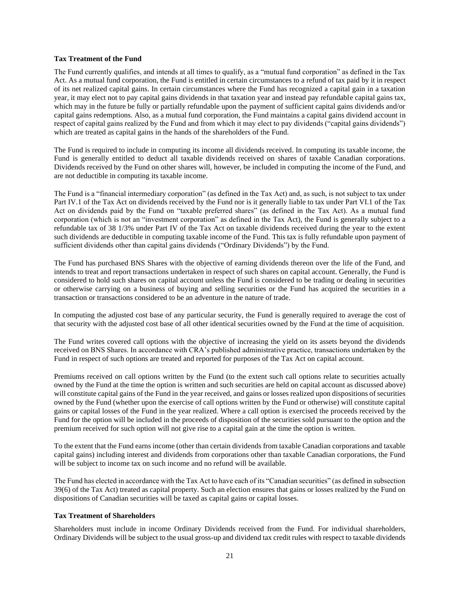#### <span id="page-23-0"></span>**Tax Treatment of the Fund**

The Fund currently qualifies, and intends at all times to qualify, as a "mutual fund corporation" as defined in the Tax Act. As a mutual fund corporation, the Fund is entitled in certain circumstances to a refund of tax paid by it in respect of its net realized capital gains. In certain circumstances where the Fund has recognized a capital gain in a taxation year, it may elect not to pay capital gains dividends in that taxation year and instead pay refundable capital gains tax, which may in the future be fully or partially refundable upon the payment of sufficient capital gains dividends and/or capital gains redemptions. Also, as a mutual fund corporation, the Fund maintains a capital gains dividend account in respect of capital gains realized by the Fund and from which it may elect to pay dividends ("capital gains dividends") which are treated as capital gains in the hands of the shareholders of the Fund.

The Fund is required to include in computing its income all dividends received. In computing its taxable income, the Fund is generally entitled to deduct all taxable dividends received on shares of taxable Canadian corporations. Dividends received by the Fund on other shares will, however, be included in computing the income of the Fund, and are not deductible in computing its taxable income.

The Fund is a "financial intermediary corporation" (as defined in the Tax Act) and, as such, is not subject to tax under Part IV.1 of the Tax Act on dividends received by the Fund nor is it generally liable to tax under Part VI.1 of the Tax Act on dividends paid by the Fund on "taxable preferred shares" (as defined in the Tax Act). As a mutual fund corporation (which is not an "investment corporation" as defined in the Tax Act), the Fund is generally subject to a refundable tax of 38 1/3% under Part IV of the Tax Act on taxable dividends received during the year to the extent such dividends are deductible in computing taxable income of the Fund. This tax is fully refundable upon payment of sufficient dividends other than capital gains dividends ("Ordinary Dividends") by the Fund.

The Fund has purchased BNS Shares with the objective of earning dividends thereon over the life of the Fund, and intends to treat and report transactions undertaken in respect of such shares on capital account. Generally, the Fund is considered to hold such shares on capital account unless the Fund is considered to be trading or dealing in securities or otherwise carrying on a business of buying and selling securities or the Fund has acquired the securities in a transaction or transactions considered to be an adventure in the nature of trade.

In computing the adjusted cost base of any particular security, the Fund is generally required to average the cost of that security with the adjusted cost base of all other identical securities owned by the Fund at the time of acquisition.

The Fund writes covered call options with the objective of increasing the yield on its assets beyond the dividends received on BNS Shares. In accordance with CRA's published administrative practice, transactions undertaken by the Fund in respect of such options are treated and reported for purposes of the Tax Act on capital account.

Premiums received on call options written by the Fund (to the extent such call options relate to securities actually owned by the Fund at the time the option is written and such securities are held on capital account as discussed above) will constitute capital gains of the Fund in the year received, and gains or losses realized upon dispositions of securities owned by the Fund (whether upon the exercise of call options written by the Fund or otherwise) will constitute capital gains or capital losses of the Fund in the year realized. Where a call option is exercised the proceeds received by the Fund for the option will be included in the proceeds of disposition of the securities sold pursuant to the option and the premium received for such option will not give rise to a capital gain at the time the option is written.

To the extent that the Fund earns income (other than certain dividends from taxable Canadian corporations and taxable capital gains) including interest and dividends from corporations other than taxable Canadian corporations, the Fund will be subject to income tax on such income and no refund will be available.

The Fund has elected in accordance with the Tax Act to have each of its "Canadian securities" (as defined in subsection 39(6) of the Tax Act) treated as capital property. Such an election ensures that gains or losses realized by the Fund on dispositions of Canadian securities will be taxed as capital gains or capital losses.

#### <span id="page-23-1"></span>**Tax Treatment of Shareholders**

Shareholders must include in income Ordinary Dividends received from the Fund. For individual shareholders, Ordinary Dividends will be subject to the usual gross-up and dividend tax credit rules with respect to taxable dividends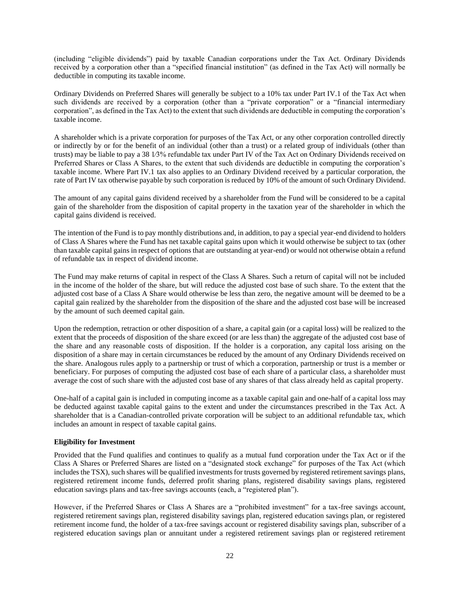(including "eligible dividends") paid by taxable Canadian corporations under the Tax Act. Ordinary Dividends received by a corporation other than a "specified financial institution" (as defined in the Tax Act) will normally be deductible in computing its taxable income.

Ordinary Dividends on Preferred Shares will generally be subject to a 10% tax under Part IV.1 of the Tax Act when such dividends are received by a corporation (other than a "private corporation" or a "financial intermediary corporation", as defined in the Tax Act) to the extent that such dividends are deductible in computing the corporation's taxable income.

A shareholder which is a private corporation for purposes of the Tax Act, or any other corporation controlled directly or indirectly by or for the benefit of an individual (other than a trust) or a related group of individuals (other than trusts) may be liable to pay a 38 1⁄3% refundable tax under Part IV of the Tax Act on Ordinary Dividends received on Preferred Shares or Class A Shares, to the extent that such dividends are deductible in computing the corporation's taxable income. Where Part IV.1 tax also applies to an Ordinary Dividend received by a particular corporation, the rate of Part IV tax otherwise payable by such corporation is reduced by 10% of the amount of such Ordinary Dividend.

The amount of any capital gains dividend received by a shareholder from the Fund will be considered to be a capital gain of the shareholder from the disposition of capital property in the taxation year of the shareholder in which the capital gains dividend is received.

The intention of the Fund is to pay monthly distributions and, in addition, to pay a special year-end dividend to holders of Class A Shares where the Fund has net taxable capital gains upon which it would otherwise be subject to tax (other than taxable capital gains in respect of options that are outstanding at year-end) or would not otherwise obtain a refund of refundable tax in respect of dividend income.

The Fund may make returns of capital in respect of the Class A Shares. Such a return of capital will not be included in the income of the holder of the share, but will reduce the adjusted cost base of such share. To the extent that the adjusted cost base of a Class A Share would otherwise be less than zero, the negative amount will be deemed to be a capital gain realized by the shareholder from the disposition of the share and the adjusted cost base will be increased by the amount of such deemed capital gain.

Upon the redemption, retraction or other disposition of a share, a capital gain (or a capital loss) will be realized to the extent that the proceeds of disposition of the share exceed (or are less than) the aggregate of the adjusted cost base of the share and any reasonable costs of disposition. If the holder is a corporation, any capital loss arising on the disposition of a share may in certain circumstances be reduced by the amount of any Ordinary Dividends received on the share. Analogous rules apply to a partnership or trust of which a corporation, partnership or trust is a member or beneficiary. For purposes of computing the adjusted cost base of each share of a particular class, a shareholder must average the cost of such share with the adjusted cost base of any shares of that class already held as capital property.

One-half of a capital gain is included in computing income as a taxable capital gain and one-half of a capital loss may be deducted against taxable capital gains to the extent and under the circumstances prescribed in the Tax Act. A shareholder that is a Canadian-controlled private corporation will be subject to an additional refundable tax, which includes an amount in respect of taxable capital gains.

## <span id="page-24-0"></span>**Eligibility for Investment**

Provided that the Fund qualifies and continues to qualify as a mutual fund corporation under the Tax Act or if the Class A Shares or Preferred Shares are listed on a "designated stock exchange" for purposes of the Tax Act (which includes the TSX), such shares will be qualified investments for trusts governed by registered retirement savings plans, registered retirement income funds, deferred profit sharing plans, registered disability savings plans, registered education savings plans and tax-free savings accounts (each, a "registered plan").

However, if the Preferred Shares or Class A Shares are a "prohibited investment" for a tax-free savings account, registered retirement savings plan, registered disability savings plan, registered education savings plan, or registered retirement income fund, the holder of a tax-free savings account or registered disability savings plan, subscriber of a registered education savings plan or annuitant under a registered retirement savings plan or registered retirement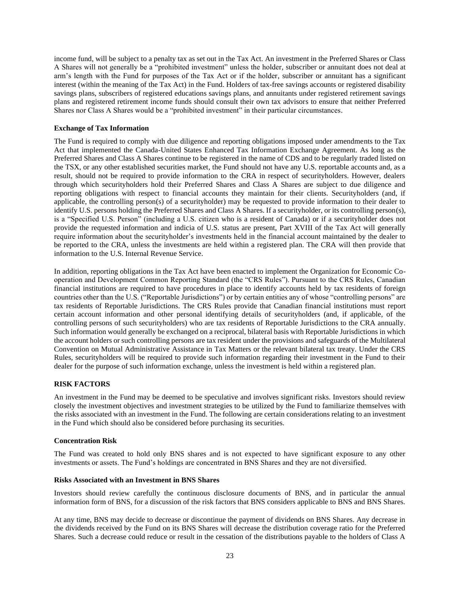income fund, will be subject to a penalty tax as set out in the Tax Act. An investment in the Preferred Shares or Class A Shares will not generally be a "prohibited investment" unless the holder, subscriber or annuitant does not deal at arm's length with the Fund for purposes of the Tax Act or if the holder, subscriber or annuitant has a significant interest (within the meaning of the Tax Act) in the Fund. Holders of tax-free savings accounts or registered disability savings plans, subscribers of registered educations savings plans, and annuitants under registered retirement savings plans and registered retirement income funds should consult their own tax advisors to ensure that neither Preferred Shares nor Class A Shares would be a "prohibited investment" in their particular circumstances.

## <span id="page-25-0"></span>**Exchange of Tax Information**

The Fund is required to comply with due diligence and reporting obligations imposed under amendments to the Tax Act that implemented the Canada-United States Enhanced Tax Information Exchange Agreement. As long as the Preferred Shares and Class A Shares continue to be registered in the name of CDS and to be regularly traded listed on the TSX, or any other established securities market, the Fund should not have any U.S. reportable accounts and, as a result, should not be required to provide information to the CRA in respect of securityholders. However, dealers through which securityholders hold their Preferred Shares and Class A Shares are subject to due diligence and reporting obligations with respect to financial accounts they maintain for their clients. Securityholders (and, if applicable, the controlling person(s) of a securityholder) may be requested to provide information to their dealer to identify U.S. persons holding the Preferred Shares and Class A Shares. If a securityholder, or its controlling person(s), is a "Specified U.S. Person" (including a U.S. citizen who is a resident of Canada) or if a securityholder does not provide the requested information and indicia of U.S. status are present, Part XVIII of the Tax Act will generally require information about the securityholder's investments held in the financial account maintained by the dealer to be reported to the CRA, unless the investments are held within a registered plan. The CRA will then provide that information to the U.S. Internal Revenue Service.

In addition, reporting obligations in the Tax Act have been enacted to implement the Organization for Economic Cooperation and Development Common Reporting Standard (the "CRS Rules"). Pursuant to the CRS Rules, Canadian financial institutions are required to have procedures in place to identify accounts held by tax residents of foreign countries other than the U.S. ("Reportable Jurisdictions") or by certain entities any of whose "controlling persons" are tax residents of Reportable Jurisdictions. The CRS Rules provide that Canadian financial institutions must report certain account information and other personal identifying details of securityholders (and, if applicable, of the controlling persons of such securityholders) who are tax residents of Reportable Jurisdictions to the CRA annually. Such information would generally be exchanged on a reciprocal, bilateral basis with Reportable Jurisdictions in which the account holders or such controlling persons are tax resident under the provisions and safeguards of the Multilateral Convention on Mutual Administrative Assistance in Tax Matters or the relevant bilateral tax treaty. Under the CRS Rules, securityholders will be required to provide such information regarding their investment in the Fund to their dealer for the purpose of such information exchange, unless the investment is held within a registered plan.

#### <span id="page-25-1"></span>**RISK FACTORS**

An investment in the Fund may be deemed to be speculative and involves significant risks. Investors should review closely the investment objectives and investment strategies to be utilized by the Fund to familiarize themselves with the risks associated with an investment in the Fund. The following are certain considerations relating to an investment in the Fund which should also be considered before purchasing its securities.

#### <span id="page-25-2"></span>**Concentration Risk**

The Fund was created to hold only BNS shares and is not expected to have significant exposure to any other investments or assets. The Fund's holdings are concentrated in BNS Shares and they are not diversified.

#### <span id="page-25-3"></span>**Risks Associated with an Investment in BNS Shares**

Investors should review carefully the continuous disclosure documents of BNS, and in particular the annual information form of BNS, for a discussion of the risk factors that BNS considers applicable to BNS and BNS Shares.

At any time, BNS may decide to decrease or discontinue the payment of dividends on BNS Shares. Any decrease in the dividends received by the Fund on its BNS Shares will decrease the distribution coverage ratio for the Preferred Shares. Such a decrease could reduce or result in the cessation of the distributions payable to the holders of Class A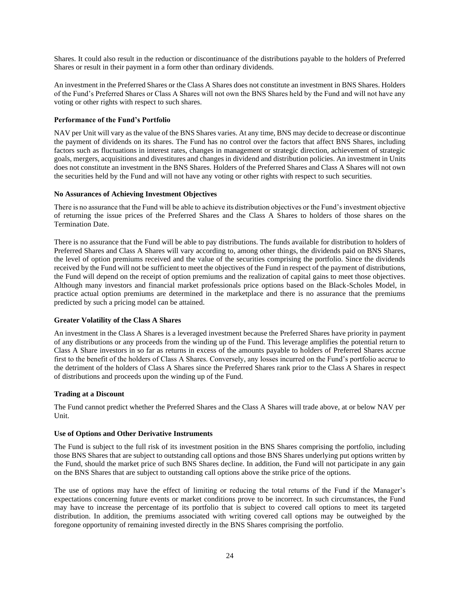Shares. It could also result in the reduction or discontinuance of the distributions payable to the holders of Preferred Shares or result in their payment in a form other than ordinary dividends.

An investment in the Preferred Shares or the Class A Shares does not constitute an investment in BNS Shares. Holders of the Fund's Preferred Shares or Class A Shares will not own the BNS Shares held by the Fund and will not have any voting or other rights with respect to such shares.

## <span id="page-26-0"></span>**Performance of the Fund's Portfolio**

NAV per Unit will vary as the value of the BNS Shares varies. At any time, BNS may decide to decrease or discontinue the payment of dividends on its shares. The Fund has no control over the factors that affect BNS Shares, including factors such as fluctuations in interest rates, changes in management or strategic direction, achievement of strategic goals, mergers, acquisitions and divestitures and changes in dividend and distribution policies. An investment in Units does not constitute an investment in the BNS Shares. Holders of the Preferred Shares and Class A Shares will not own the securities held by the Fund and will not have any voting or other rights with respect to such securities.

#### <span id="page-26-1"></span>**No Assurances of Achieving Investment Objectives**

There is no assurance that the Fund will be able to achieve its distribution objectives or the Fund's investment objective of returning the issue prices of the Preferred Shares and the Class A Shares to holders of those shares on the Termination Date.

There is no assurance that the Fund will be able to pay distributions. The funds available for distribution to holders of Preferred Shares and Class A Shares will vary according to, among other things, the dividends paid on BNS Shares, the level of option premiums received and the value of the securities comprising the portfolio. Since the dividends received by the Fund will not be sufficient to meet the objectives of the Fund in respect of the payment of distributions, the Fund will depend on the receipt of option premiums and the realization of capital gains to meet those objectives. Although many investors and financial market professionals price options based on the Black-Scholes Model, in practice actual option premiums are determined in the marketplace and there is no assurance that the premiums predicted by such a pricing model can be attained.

#### <span id="page-26-2"></span>**Greater Volatility of the Class A Shares**

An investment in the Class A Shares is a leveraged investment because the Preferred Shares have priority in payment of any distributions or any proceeds from the winding up of the Fund. This leverage amplifies the potential return to Class A Share investors in so far as returns in excess of the amounts payable to holders of Preferred Shares accrue first to the benefit of the holders of Class A Shares. Conversely, any losses incurred on the Fund's portfolio accrue to the detriment of the holders of Class A Shares since the Preferred Shares rank prior to the Class A Shares in respect of distributions and proceeds upon the winding up of the Fund.

#### <span id="page-26-3"></span>**Trading at a Discount**

The Fund cannot predict whether the Preferred Shares and the Class A Shares will trade above, at or below NAV per Unit.

## <span id="page-26-4"></span>**Use of Options and Other Derivative Instruments**

The Fund is subject to the full risk of its investment position in the BNS Shares comprising the portfolio, including those BNS Shares that are subject to outstanding call options and those BNS Shares underlying put options written by the Fund, should the market price of such BNS Shares decline. In addition, the Fund will not participate in any gain on the BNS Shares that are subject to outstanding call options above the strike price of the options.

The use of options may have the effect of limiting or reducing the total returns of the Fund if the Manager's expectations concerning future events or market conditions prove to be incorrect. In such circumstances, the Fund may have to increase the percentage of its portfolio that is subject to covered call options to meet its targeted distribution. In addition, the premiums associated with writing covered call options may be outweighed by the foregone opportunity of remaining invested directly in the BNS Shares comprising the portfolio.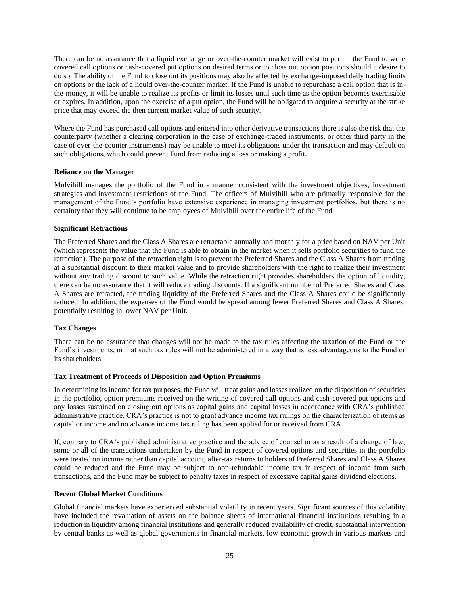There can be no assurance that a liquid exchange or over-the-counter market will exist to permit the Fund to write covered call options or cash-covered put options on desired terms or to close out option positions should it desire to do so. The ability of the Fund to close out its positions may also be affected by exchange-imposed daily trading limits on options or the lack of a liquid over-the-counter market. If the Fund is unable to repurchase a call option that is inthe-money, it will be unable to realize its profits or limit its losses until such time as the option becomes exercisable or expires. In addition, upon the exercise of a put option, the Fund will be obligated to acquire a security at the strike price that may exceed the then current market value of such security.

Where the Fund has purchased call options and entered into other derivative transactions there is also the risk that the counterparty (whether a clearing corporation in the case of exchange-traded instruments, or other third party in the case of over-the-counter instruments) may be unable to meet its obligations under the transaction and may default on such obligations, which could prevent Fund from reducing a loss or making a profit.

## <span id="page-27-0"></span>**Reliance on the Manager**

Mulvihill manages the portfolio of the Fund in a manner consistent with the investment objectives, investment strategies and investment restrictions of the Fund. The officers of Mulvihill who are primarily responsible for the management of the Fund's portfolio have extensive experience in managing investment portfolios, but there is no certainty that they will continue to be employees of Mulvihill over the entire life of the Fund.

## <span id="page-27-1"></span>**Significant Retractions**

The Preferred Shares and the Class A Shares are retractable annually and monthly for a price based on NAV per Unit (which represents the value that the Fund is able to obtain in the market when it sells portfolio securities to fund the retraction). The purpose of the retraction right is to prevent the Preferred Shares and the Class A Shares from trading at a substantial discount to their market value and to provide shareholders with the right to realize their investment without any trading discount to such value. While the retraction right provides shareholders the option of liquidity, there can be no assurance that it will reduce trading discounts. If a significant number of Preferred Shares and Class A Shares are retracted, the trading liquidity of the Preferred Shares and the Class A Shares could be significantly reduced. In addition, the expenses of the Fund would be spread among fewer Preferred Shares and Class A Shares, potentially resulting in lower NAV per Unit.

## <span id="page-27-2"></span>**Tax Changes**

There can be no assurance that changes will not be made to the tax rules affecting the taxation of the Fund or the Fund's investments, or that such tax rules will not be administered in a way that is less advantageous to the Fund or its shareholders.

#### <span id="page-27-3"></span>**Tax Treatment of Proceeds of Disposition and Option Premiums**

In determining its income for tax purposes, the Fund will treat gains and losses realized on the disposition of securities in the portfolio, option premiums received on the writing of covered call options and cash-covered put options and any losses sustained on closing out options as capital gains and capital losses in accordance with CRA's published administrative practice. CRA's practice is not to grant advance income tax rulings on the characterization of items as capital or income and no advance income tax ruling has been applied for or received from CRA.

If, contrary to CRA's published administrative practice and the advice of counsel or as a result of a change of law, some or all of the transactions undertaken by the Fund in respect of covered options and securities in the portfolio were treated on income rather than capital account, after-tax returns to holders of Preferred Shares and Class A Shares could be reduced and the Fund may be subject to non-refundable income tax in respect of income from such transactions, and the Fund may be subject to penalty taxes in respect of excessive capital gains dividend elections.

## <span id="page-27-4"></span>**Recent Global Market Conditions**

Global financial markets have experienced substantial volatility in recent years. Significant sources of this volatility have included the revaluation of assets on the balance sheets of international financial institutions resulting in a reduction in liquidity among financial institutions and generally reduced availability of credit, substantial intervention by central banks as well as global governments in financial markets, low economic growth in various markets and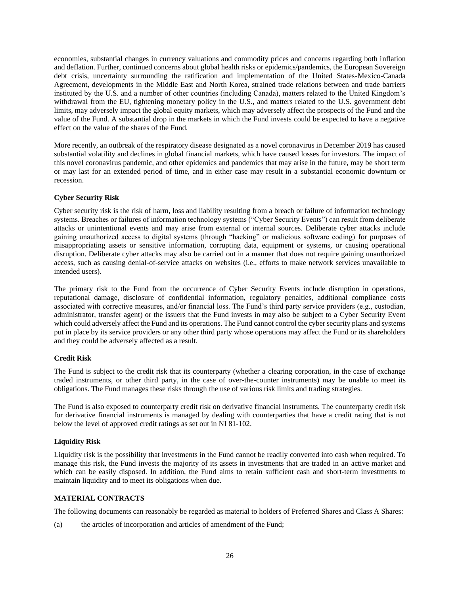economies, substantial changes in currency valuations and commodity prices and concerns regarding both inflation and deflation. Further, continued concerns about global health risks or epidemics/pandemics, the European Sovereign debt crisis, uncertainty surrounding the ratification and implementation of the United States-Mexico-Canada Agreement, developments in the Middle East and North Korea, strained trade relations between and trade barriers instituted by the U.S. and a number of other countries (including Canada), matters related to the United Kingdom's withdrawal from the EU, tightening monetary policy in the U.S., and matters related to the U.S. government debt limits, may adversely impact the global equity markets, which may adversely affect the prospects of the Fund and the value of the Fund. A substantial drop in the markets in which the Fund invests could be expected to have a negative effect on the value of the shares of the Fund.

More recently, an outbreak of the respiratory disease designated as a novel coronavirus in December 2019 has caused substantial volatility and declines in global financial markets, which have caused losses for investors. The impact of this novel coronavirus pandemic, and other epidemics and pandemics that may arise in the future, may be short term or may last for an extended period of time, and in either case may result in a substantial economic downturn or recession.

## <span id="page-28-0"></span>**Cyber Security Risk**

Cyber security risk is the risk of harm, loss and liability resulting from a breach or failure of information technology systems. Breaches or failures of information technology systems ("Cyber Security Events") can result from deliberate attacks or unintentional events and may arise from external or internal sources. Deliberate cyber attacks include gaining unauthorized access to digital systems (through "hacking" or malicious software coding) for purposes of misappropriating assets or sensitive information, corrupting data, equipment or systems, or causing operational disruption. Deliberate cyber attacks may also be carried out in a manner that does not require gaining unauthorized access, such as causing denial-of-service attacks on websites (i.e., efforts to make network services unavailable to intended users).

The primary risk to the Fund from the occurrence of Cyber Security Events include disruption in operations, reputational damage, disclosure of confidential information, regulatory penalties, additional compliance costs associated with corrective measures, and/or financial loss. The Fund's third party service providers (e.g., custodian, administrator, transfer agent) or the issuers that the Fund invests in may also be subject to a Cyber Security Event which could adversely affect the Fund and its operations. The Fund cannot control the cyber security plans and systems put in place by its service providers or any other third party whose operations may affect the Fund or its shareholders and they could be adversely affected as a result.

## <span id="page-28-1"></span>**Credit Risk**

The Fund is subject to the credit risk that its counterparty (whether a clearing corporation, in the case of exchange traded instruments, or other third party, in the case of over-the-counter instruments) may be unable to meet its obligations. The Fund manages these risks through the use of various risk limits and trading strategies.

The Fund is also exposed to counterparty credit risk on derivative financial instruments. The counterparty credit risk for derivative financial instruments is managed by dealing with counterparties that have a credit rating that is not below the level of approved credit ratings as set out in NI 81-102.

## <span id="page-28-2"></span>**Liquidity Risk**

Liquidity risk is the possibility that investments in the Fund cannot be readily converted into cash when required. To manage this risk, the Fund invests the majority of its assets in investments that are traded in an active market and which can be easily disposed. In addition, the Fund aims to retain sufficient cash and short-term investments to maintain liquidity and to meet its obligations when due.

## <span id="page-28-3"></span>**MATERIAL CONTRACTS**

The following documents can reasonably be regarded as material to holders of Preferred Shares and Class A Shares:

(a) the articles of incorporation and articles of amendment of the Fund;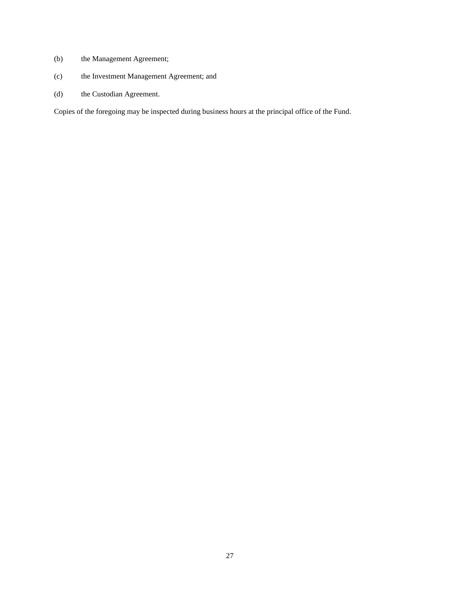- (b) the Management Agreement;
- (c) the Investment Management Agreement; and
- (d) the Custodian Agreement.

Copies of the foregoing may be inspected during business hours at the principal office of the Fund.